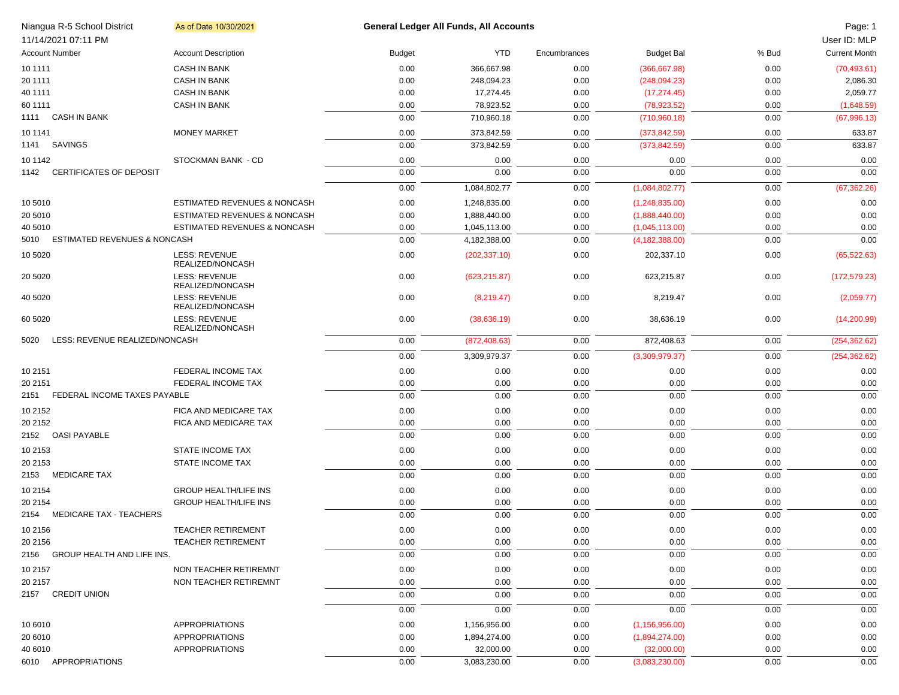| Niangua R-5 School District<br>11/14/2021 07:11 PM | As of Date 10/30/2021                    |               | <b>General Ledger All Funds, All Accounts</b> |              |                   |       | Page: 1<br>User ID: MLP |
|----------------------------------------------------|------------------------------------------|---------------|-----------------------------------------------|--------------|-------------------|-------|-------------------------|
| <b>Account Number</b>                              | <b>Account Description</b>               | <b>Budget</b> | <b>YTD</b>                                    | Encumbrances | <b>Budget Bal</b> | % Bud | <b>Current Month</b>    |
| 10 1111                                            | <b>CASH IN BANK</b>                      | 0.00          | 366,667.98                                    | 0.00         | (366, 667.98)     | 0.00  | (70, 493.61)            |
| 20 11 11                                           | <b>CASH IN BANK</b>                      | 0.00          | 248,094.23                                    | 0.00         | (248,094.23)      | 0.00  | 2,086.30                |
| 40 1111                                            | <b>CASH IN BANK</b>                      | 0.00          | 17,274.45                                     | 0.00         | (17, 274.45)      | 0.00  | 2,059.77                |
| 60 1111                                            | <b>CASH IN BANK</b>                      | 0.00          | 78,923.52                                     | 0.00         | (78, 923.52)      | 0.00  | (1,648.59)              |
| 1111 CASH IN BANK                                  |                                          | 0.00          | 710,960.18                                    | 0.00         | (710,960.18)      | 0.00  | (67,996.13)             |
| 10 11 41                                           | <b>MONEY MARKET</b>                      | 0.00          | 373,842.59                                    | 0.00         | (373, 842.59)     | 0.00  | 633.87                  |
| 1141 SAVINGS                                       |                                          | 0.00          | 373,842.59                                    | 0.00         | (373, 842.59)     | 0.00  | 633.87                  |
| 10 1142                                            | STOCKMAN BANK - CD                       | 0.00          | 0.00                                          | 0.00         | 0.00              | 0.00  | 0.00                    |
| 1142 CERTIFICATES OF DEPOSIT                       |                                          | 0.00          | 0.00                                          | 0.00         | 0.00              | 0.00  | 0.00                    |
|                                                    |                                          | 0.00          | 1,084,802.77                                  | 0.00         | (1,084,802.77)    | 0.00  | (67, 362.26)            |
| 10 5010                                            | <b>ESTIMATED REVENUES &amp; NONCASH</b>  | 0.00          | 1,248,835.00                                  | 0.00         | (1,248,835.00)    | 0.00  | 0.00                    |
| 20 5010                                            | ESTIMATED REVENUES & NONCASH             | 0.00          | 1,888,440.00                                  | 0.00         | (1,888,440.00)    | 0.00  | 0.00                    |
| 40 5010                                            | <b>ESTIMATED REVENUES &amp; NONCASH</b>  | 0.00          | 1,045,113.00                                  | 0.00         | (1,045,113.00)    | 0.00  | 0.00                    |
| <b>ESTIMATED REVENUES &amp; NONCASH</b><br>5010    |                                          | 0.00          | 4,182,388.00                                  | 0.00         | (4, 182, 388.00)  | 0.00  | 0.00                    |
| 10 5020                                            | <b>LESS: REVENUE</b><br>REALIZED/NONCASH | 0.00          | (202, 337.10)                                 | 0.00         | 202,337.10        | 0.00  | (65, 522.63)            |
| 20 50 20                                           | <b>LESS: REVENUE</b><br>REALIZED/NONCASH | 0.00          | (623, 215.87)                                 | 0.00         | 623,215.87        | 0.00  | (172, 579.23)           |
| 40 50 20                                           | <b>LESS: REVENUE</b><br>REALIZED/NONCASH | 0.00          | (8,219.47)                                    | 0.00         | 8,219.47          | 0.00  | (2,059.77)              |
| 60 50 20                                           | <b>LESS: REVENUE</b><br>REALIZED/NONCASH | 0.00          | (38, 636.19)                                  | 0.00         | 38,636.19         | 0.00  | (14,200.99)             |
| LESS: REVENUE REALIZED/NONCASH<br>5020             |                                          | 0.00          | (872, 408.63)                                 | 0.00         | 872,408.63        | 0.00  | (254, 362.62)           |
|                                                    |                                          | 0.00          | 3,309,979.37                                  | 0.00         | (3,309,979.37)    | 0.00  | (254, 362.62)           |
| 10 2151                                            | FEDERAL INCOME TAX                       | 0.00          | 0.00                                          | 0.00         | 0.00              | 0.00  | 0.00                    |
| 20 2151                                            | FEDERAL INCOME TAX                       | 0.00          | 0.00                                          | 0.00         | 0.00              | 0.00  | 0.00                    |
| FEDERAL INCOME TAXES PAYABLE<br>2151               |                                          | 0.00          | 0.00                                          | 0.00         | 0.00              | 0.00  | 0.00                    |
| 10 2152                                            | FICA AND MEDICARE TAX                    | 0.00          | 0.00                                          | 0.00         | 0.00              | 0.00  | 0.00                    |
| 20 2152                                            | FICA AND MEDICARE TAX                    | 0.00          | 0.00                                          | 0.00         | 0.00              | 0.00  | 0.00                    |
| 2152 OASI PAYABLE                                  |                                          | 0.00          | 0.00                                          | 0.00         | 0.00              | 0.00  | 0.00                    |
| 10 2153                                            | <b>STATE INCOME TAX</b>                  | 0.00          | 0.00                                          | 0.00         | 0.00              | 0.00  | 0.00                    |
| 20 2153                                            | <b>STATE INCOME TAX</b>                  | 0.00          | 0.00                                          | 0.00         | 0.00              | 0.00  | 0.00                    |
| 2153 MEDICARE TAX                                  |                                          | 0.00          | 0.00                                          | 0.00         | 0.00              | 0.00  | 0.00                    |
| 10 21 54                                           | <b>GROUP HEALTH/LIFE INS</b>             | 0.00          | 0.00                                          | 0.00         | 0.00              | 0.00  | 0.00                    |
| 20 2154                                            | <b>GROUP HEALTH/LIFE INS</b>             | 0.00          | 0.00                                          | 0.00         | 0.00              | 0.00  | 0.00                    |
| 2154 MEDICARE TAX - TEACHERS                       |                                          | 0.00          | 0.00                                          | 0.00         | 0.00              | 0.00  | 0.00                    |
| 10 2156                                            | <b>TEACHER RETIREMENT</b>                | 0.00          | 0.00                                          | 0.00         | 0.00              | 0.00  | 0.00                    |
| 20 2156                                            | <b>TEACHER RETIREMENT</b>                | 0.00          | 0.00                                          | 0.00         | 0.00              | 0.00  | 0.00                    |
| 2156 GROUP HEALTH AND LIFE INS.                    |                                          | 0.00          | 0.00                                          | 0.00         | 0.00              | 0.00  | 0.00                    |
| 10 2157                                            | NON TEACHER RETIREMNT                    | 0.00          | 0.00                                          | 0.00         | 0.00              | 0.00  | 0.00                    |
| 20 2157                                            | NON TEACHER RETIREMNT                    | 0.00          | 0.00                                          | 0.00         | 0.00              | 0.00  | 0.00                    |
| 2157 CREDIT UNION                                  |                                          | 0.00          | 0.00                                          | 0.00         | 0.00              | 0.00  | 0.00                    |
|                                                    |                                          | 0.00          | 0.00                                          | 0.00         | 0.00              | 0.00  | 0.00                    |
| 10 6010                                            | APPROPRIATIONS                           | 0.00          | 1,156,956.00                                  | 0.00         | (1, 156, 956.00)  | 0.00  | 0.00                    |
| 20 6010                                            | APPROPRIATIONS                           | 0.00          | 1,894,274.00                                  | 0.00         | (1,894,274.00)    | 0.00  | 0.00                    |
| 40 6010                                            | <b>APPROPRIATIONS</b>                    | 0.00          | 32,000.00                                     | 0.00         | (32,000.00)       | 0.00  | 0.00                    |
| 6010 APPROPRIATIONS                                |                                          | $0.00\,$      | 3,083,230.00                                  | 0.00         | (3,083,230.00)    | 0.00  | 0.00                    |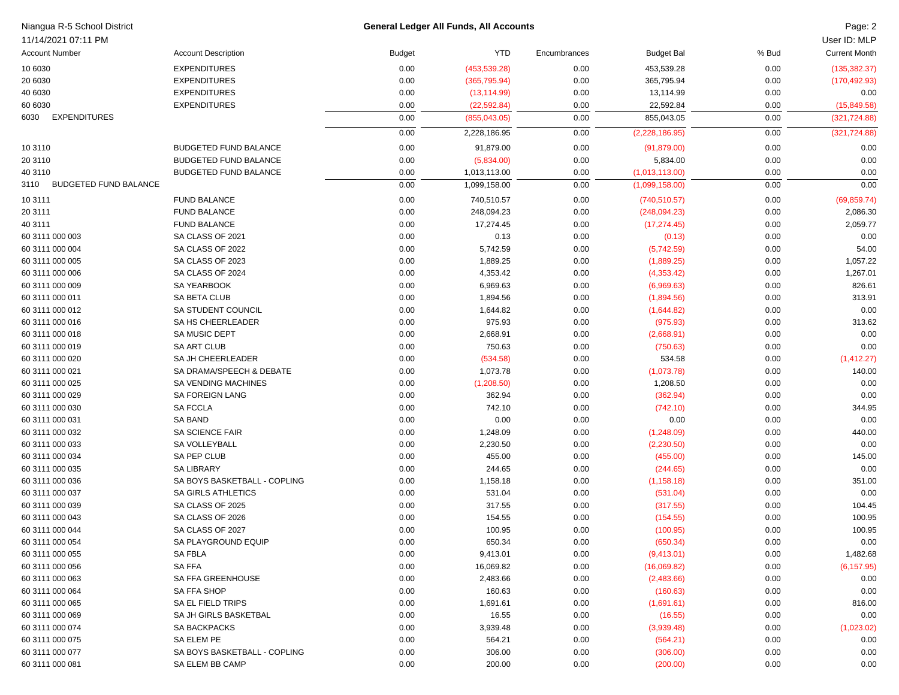| Niangua R-5 School District          |                              |               | <b>General Ledger All Funds, All Accounts</b> |              |                   |       | Page: 2              |
|--------------------------------------|------------------------------|---------------|-----------------------------------------------|--------------|-------------------|-------|----------------------|
| 11/14/2021 07:11 PM                  |                              |               |                                               |              |                   |       | User ID: MLP         |
| <b>Account Number</b>                | <b>Account Description</b>   | <b>Budget</b> | <b>YTD</b>                                    | Encumbrances | <b>Budget Bal</b> | % Bud | <b>Current Month</b> |
| 10 6030                              | <b>EXPENDITURES</b>          | 0.00          | (453, 539.28)                                 | 0.00         | 453,539.28        | 0.00  | (135, 382.37)        |
| 20 6030                              | <b>EXPENDITURES</b>          | 0.00          | (365, 795.94)                                 | 0.00         | 365,795.94        | 0.00  | (170, 492.93)        |
| 40 6030                              | <b>EXPENDITURES</b>          | 0.00          | (13, 114.99)                                  | 0.00         | 13,114.99         | 0.00  | 0.00                 |
| 60 6030                              | <b>EXPENDITURES</b>          | 0.00          | (22, 592.84)                                  | 0.00         | 22,592.84         | 0.00  | (15,849.58)          |
| 6030<br><b>EXPENDITURES</b>          |                              | 0.00          | (855,043.05)                                  | 0.00         | 855,043.05        | 0.00  | (321, 724.88)        |
|                                      |                              | 0.00          | 2,228,186.95                                  | 0.00         | (2,228,186.95)    | 0.00  | (321, 724.88)        |
|                                      |                              |               |                                               |              |                   |       |                      |
| 10 31 10                             | <b>BUDGETED FUND BALANCE</b> | 0.00          | 91,879.00                                     | 0.00         | (91, 879.00)      | 0.00  | 0.00                 |
| 20 3110                              | <b>BUDGETED FUND BALANCE</b> | 0.00          | (5,834.00)                                    | 0.00         | 5,834.00          | 0.00  | 0.00                 |
| 40 3110                              | <b>BUDGETED FUND BALANCE</b> | 0.00          | 1,013,113.00                                  | 0.00         | (1,013,113.00)    | 0.00  | 0.00                 |
| <b>BUDGETED FUND BALANCE</b><br>3110 |                              | 0.00          | 1,099,158.00                                  | 0.00         | (1,099,158.00)    | 0.00  | 0.00                 |
| 10 3111                              | <b>FUND BALANCE</b>          | 0.00          | 740,510.57                                    | 0.00         | (740, 510.57)     | 0.00  | (69, 859.74)         |
| 20 3111                              | <b>FUND BALANCE</b>          | 0.00          | 248,094.23                                    | 0.00         | (248,094.23)      | 0.00  | 2,086.30             |
| 40 3111                              | <b>FUND BALANCE</b>          | 0.00          | 17,274.45                                     | 0.00         | (17, 274.45)      | 0.00  | 2,059.77             |
| 60 3111 000 003                      | SA CLASS OF 2021             | 0.00          | 0.13                                          | 0.00         | (0.13)            | 0.00  | 0.00                 |
| 60 3111 000 004                      | SA CLASS OF 2022             | 0.00          | 5,742.59                                      | 0.00         | (5,742.59)        | 0.00  | 54.00                |
| 60 3111 000 005                      | SA CLASS OF 2023             | 0.00          | 1,889.25                                      | 0.00         | (1,889.25)        | 0.00  | 1,057.22             |
| 60 3111 000 006                      | SA CLASS OF 2024             | 0.00          | 4,353.42                                      | 0.00         | (4,353.42)        | 0.00  | 1,267.01             |
| 60 3111 000 009                      | SA YEARBOOK                  | 0.00          | 6,969.63                                      | 0.00         | (6,969.63)        | 0.00  | 826.61               |
| 60 3111 000 011                      | SA BETA CLUB                 | 0.00          | 1,894.56                                      | 0.00         | (1,894.56)        | 0.00  | 313.91               |
| 60 3111 000 012                      | SA STUDENT COUNCIL           | 0.00          | 1,644.82                                      | 0.00         | (1,644.82)        | 0.00  | 0.00                 |
| 60 3111 000 016                      | SA HS CHEERLEADER            | 0.00          | 975.93                                        | 0.00         | (975.93)          | 0.00  | 313.62               |
| 60 3111 000 018                      | SA MUSIC DEPT                | 0.00          | 2,668.91                                      | 0.00         | (2,668.91)        | 0.00  | 0.00                 |
| 60 3111 000 019                      | <b>SA ART CLUB</b>           | 0.00          | 750.63                                        | 0.00         | (750.63)          | 0.00  | 0.00                 |
| 60 3111 000 020                      | SA JH CHEERLEADER            | 0.00          | (534.58)                                      | 0.00         | 534.58            | 0.00  | (1,412.27)           |
| 60 3111 000 021                      | SA DRAMA/SPEECH & DEBATE     | 0.00          | 1,073.78                                      | 0.00         | (1,073.78)        | 0.00  | 140.00               |
| 60 3111 000 025                      | SA VENDING MACHINES          | 0.00          | (1,208.50)                                    | 0.00         | 1,208.50          | 0.00  | 0.00                 |
| 60 3111 000 029                      | <b>SA FOREIGN LANG</b>       | 0.00          | 362.94                                        | 0.00         | (362.94)          | 0.00  | 0.00                 |
| 60 3111 000 030                      | SA FCCLA                     | 0.00          | 742.10                                        | 0.00         | (742.10)          | 0.00  | 344.95               |
| 60 3111 000 031                      | <b>SA BAND</b>               | 0.00          | 0.00                                          | 0.00         | 0.00              | 0.00  | 0.00                 |
| 60 3111 000 032                      | SA SCIENCE FAIR              | 0.00          | 1,248.09                                      | 0.00         | (1,248.09)        | 0.00  | 440.00               |
| 60 3111 000 033                      | SA VOLLEYBALL                | 0.00          | 2,230.50                                      | 0.00         | (2,230.50)        | 0.00  | 0.00                 |
| 60 3111 000 034                      | SA PEP CLUB                  | 0.00          | 455.00                                        | 0.00         | (455.00)          | 0.00  | 145.00               |
| 60 3111 000 035                      | <b>SA LIBRARY</b>            | 0.00          | 244.65                                        | 0.00         | (244.65)          | 0.00  | 0.00                 |
| 60 3111 000 036                      | SA BOYS BASKETBALL - COPLING | 0.00          | 1,158.18                                      | 0.00         | (1, 158.18)       | 0.00  | 351.00               |
| 60 3111 000 037                      | <b>SA GIRLS ATHLETICS</b>    | 0.00          | 531.04                                        | 0.00         | (531.04)          | 0.00  | 0.00                 |
| 60 3111 000 039                      | SA CLASS OF 2025             | 0.00          | 317.55                                        | 0.00         | (317.55)          | 0.00  | 104.45               |
| 60 3111 000 043                      | SA CLASS OF 2026             | 0.00          | 154.55                                        | 0.00         | (154.55)          | 0.00  | 100.95               |
| 60 3111 000 044                      | SA CLASS OF 2027             | 0.00          | 100.95                                        | 0.00         | (100.95)          | 0.00  | 100.95               |
| 60 3111 000 054                      | SA PLAYGROUND EQUIP          | 0.00          | 650.34                                        | 0.00         | (650.34)          | 0.00  | 0.00                 |
| 60 3111 000 055                      | SA FBLA                      | 0.00          | 9,413.01                                      | 0.00         | (9,413.01)        | 0.00  | 1,482.68             |
| 60 3111 000 056                      | SA FFA                       | 0.00          | 16,069.82                                     | 0.00         | (16,069.82)       | 0.00  | (6, 157.95)          |
| 60 3111 000 063                      | SA FFA GREENHOUSE            | 0.00          | 2,483.66                                      | 0.00         | (2,483.66)        | 0.00  | 0.00                 |
| 60 3111 000 064                      | SA FFA SHOP                  | 0.00          | 160.63                                        | 0.00         | (160.63)          | 0.00  | 0.00                 |
| 60 3111 000 065                      | SA EL FIELD TRIPS            | 0.00          | 1,691.61                                      | 0.00         | (1,691.61)        | 0.00  | 816.00               |
| 60 3111 000 069                      | SA JH GIRLS BASKETBAL        | 0.00          | 16.55                                         | 0.00         | (16.55)           | 0.00  | 0.00                 |
| 60 3111 000 074                      | SA BACKPACKS                 | 0.00          | 3,939.48                                      | 0.00         | (3,939.48)        | 0.00  | (1,023.02)           |
| 60 3111 000 075                      | SA ELEM PE                   | 0.00          | 564.21                                        | 0.00         | (564.21)          | 0.00  | 0.00                 |
| 60 3111 000 077                      | SA BOYS BASKETBALL - COPLING | 0.00          | 306.00                                        | 0.00         | (306.00)          | 0.00  | 0.00                 |
| 60 3111 000 081                      | SA ELEM BB CAMP              | 0.00          | 200.00                                        | 0.00         | (200.00)          | 0.00  | 0.00                 |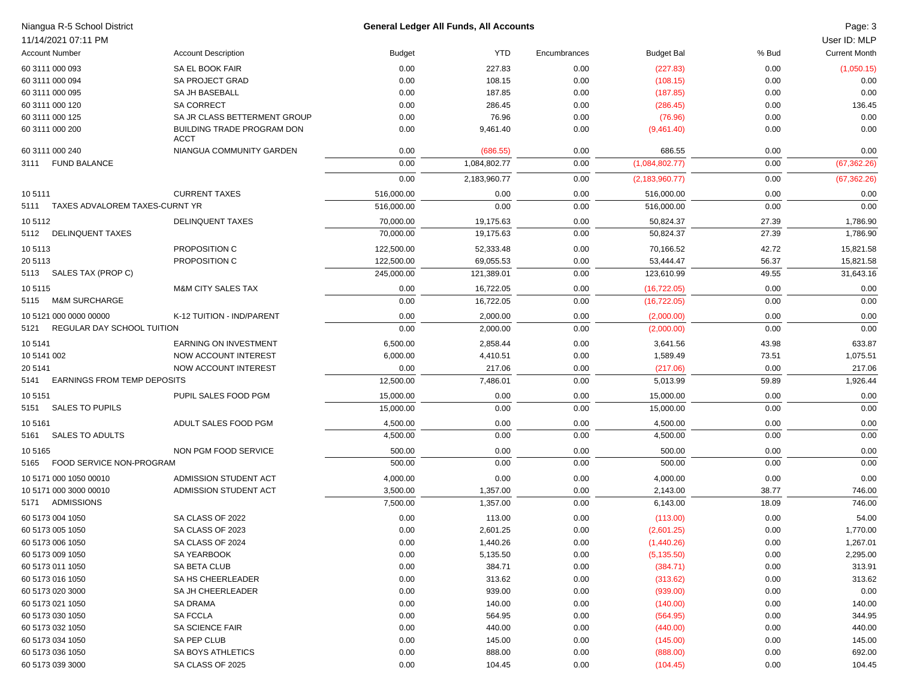| Niangua R-5 School District                |                                    |                  | General Ledger All Funds, All Accounts |              |                   |              | Page: 3              |
|--------------------------------------------|------------------------------------|------------------|----------------------------------------|--------------|-------------------|--------------|----------------------|
| 11/14/2021 07:11 PM                        |                                    |                  |                                        |              |                   |              | User ID: MLP         |
| <b>Account Number</b>                      | <b>Account Description</b>         | <b>Budget</b>    | <b>YTD</b>                             | Encumbrances | <b>Budget Bal</b> | % Bud        | <b>Current Month</b> |
| 60 3111 000 093                            | SA EL BOOK FAIR                    | 0.00             | 227.83                                 | 0.00         | (227.83)          | 0.00         | (1,050.15)           |
| 60 3111 000 094                            | <b>SA PROJECT GRAD</b>             | 0.00             | 108.15                                 | 0.00         | (108.15)          | 0.00         | 0.00                 |
| 60 3111 000 095                            | SA JH BASEBALL                     | 0.00             | 187.85                                 | 0.00         | (187.85)          | 0.00         | 0.00                 |
| 60 3111 000 120                            | <b>SA CORRECT</b>                  | 0.00             | 286.45                                 | 0.00         | (286.45)          | 0.00         | 136.45               |
| 60 3111 000 125                            | SA JR CLASS BETTERMENT GROUP       | 0.00             | 76.96                                  | 0.00         | (76.96)           | 0.00         | 0.00                 |
| 60 3111 000 200                            | BUILDING TRADE PROGRAM DON<br>ACCT | 0.00             | 9,461.40                               | 0.00         | (9,461.40)        | 0.00         | 0.00                 |
| 60 3111 000 240                            | NIANGUA COMMUNITY GARDEN           | 0.00             | (686.55)                               | 0.00         | 686.55            | 0.00         | 0.00                 |
| 3111 FUND BALANCE                          |                                    | 0.00             | 1,084,802.77                           | 0.00         | (1,084,802.77)    | 0.00         | (67, 362.26)         |
|                                            |                                    | 0.00             | 2,183,960.77                           | 0.00         | (2, 183, 960.77)  | 0.00         | (67, 362.26)         |
| 105111                                     | <b>CURRENT TAXES</b>               | 516,000.00       | 0.00                                   | 0.00         | 516,000.00        | 0.00         | 0.00                 |
| 5111 TAXES ADVALOREM TAXES-CURNT YR        |                                    | 516,000.00       | 0.00                                   | 0.00         | 516,000.00        | 0.00         | 0.00                 |
| 105112                                     | DELINQUENT TAXES                   | 70,000.00        | 19,175.63                              | 0.00         | 50,824.37         | 27.39        | 1,786.90             |
| 5112 DELINQUENT TAXES                      |                                    | 70,000.00        | 19,175.63                              | 0.00         | 50,824.37         | 27.39        | 1,786.90             |
|                                            |                                    |                  |                                        |              |                   |              |                      |
| 105113                                     | PROPOSITION C                      | 122,500.00       | 52,333.48                              | 0.00         | 70,166.52         | 42.72        | 15,821.58            |
| 20 5113                                    | PROPOSITION C                      | 122,500.00       | 69,055.53                              | 0.00         | 53,444.47         | 56.37        | 15,821.58            |
| 5113 SALES TAX (PROP C)                    |                                    | 245,000.00       | 121,389.01                             | 0.00         | 123,610.99        | 49.55        | 31,643.16            |
| 105115                                     | <b>M&amp;M CITY SALES TAX</b>      | 0.00             | 16,722.05                              | 0.00         | (16, 722.05)      | 0.00         | 0.00                 |
| 5115 M&M SURCHARGE                         |                                    | 0.00             | 16,722.05                              | 0.00         | (16, 722.05)      | 0.00         | 0.00                 |
| 10 5121 000 0000 00000                     | K-12 TUITION - IND/PARENT          | 0.00             | 2,000.00                               | 0.00         | (2,000.00)        | 0.00         | 0.00                 |
| REGULAR DAY SCHOOL TUITION<br>5121         |                                    | 0.00             | 2,000.00                               | 0.00         | (2,000.00)        | 0.00         | 0.00                 |
| 105141                                     | <b>EARNING ON INVESTMENT</b>       | 6,500.00         | 2,858.44                               | 0.00         | 3,641.56          | 43.98        | 633.87               |
| 10 5141 002                                | NOW ACCOUNT INTEREST               | 6,000.00         | 4,410.51                               | 0.00         | 1,589.49          | 73.51        | 1,075.51             |
| 20 5141                                    | NOW ACCOUNT INTEREST               | 0.00             | 217.06                                 | 0.00         | (217.06)          | 0.00         | 217.06               |
| <b>EARNINGS FROM TEMP DEPOSITS</b><br>5141 |                                    | 12,500.00        | 7,486.01                               | 0.00         | 5,013.99          | 59.89        | 1,926.44             |
| 105151                                     | PUPIL SALES FOOD PGM               | 15,000.00        | 0.00                                   | 0.00         | 15,000.00         | 0.00         | 0.00                 |
| <b>SALES TO PUPILS</b><br>5151             |                                    | 15,000.00        | 0.00                                   | 0.00         | 15,000.00         | 0.00         | 0.00                 |
| 105161                                     | ADULT SALES FOOD PGM               | 4,500.00         | 0.00                                   | 0.00         | 4,500.00          | 0.00         | 0.00                 |
| <b>SALES TO ADULTS</b><br>5161             |                                    | 4,500.00         | 0.00                                   | 0.00         | 4,500.00          | 0.00         | 0.00                 |
|                                            | NON PGM FOOD SERVICE               |                  |                                        |              | 500.00            |              |                      |
| 105165<br>FOOD SERVICE NON-PROGRAM         |                                    | 500.00<br>500.00 | 0.00<br>0.00                           | 0.00<br>0.00 | 500.00            | 0.00<br>0.00 | 0.00<br>0.00         |
| 5165                                       |                                    |                  |                                        |              |                   |              |                      |
| 10 5171 000 1050 00010                     | ADMISSION STUDENT ACT              | 4,000.00         | 0.00                                   | 0.00         | 4,000.00          | 0.00         | 0.00                 |
| 10 5171 000 3000 00010                     | ADMISSION STUDENT ACT              | 3,500.00         | 1,357.00                               | 0.00         | 2,143.00          | 38.77        | 746.00               |
| 5171 ADMISSIONS                            |                                    | 7,500.00         | 1,357.00                               | 0.00         | 6,143.00          | 18.09        | 746.00               |
| 60 5173 004 1050                           | SA CLASS OF 2022                   | 0.00             | 113.00                                 | 0.00         | (113.00)          | 0.00         | 54.00                |
| 60 5173 005 1050                           | SA CLASS OF 2023                   | 0.00             | 2,601.25                               | 0.00         | (2,601.25)        | 0.00         | 1,770.00             |
| 60 5173 006 1050                           | SA CLASS OF 2024                   | 0.00             | 1,440.26                               | 0.00         | (1,440.26)        | 0.00         | 1,267.01             |
| 60 5173 009 1050                           | SA YEARBOOK                        | 0.00             | 5,135.50                               | 0.00         | (5, 135.50)       | 0.00         | 2,295.00             |
| 60 5173 011 1050                           | SA BETA CLUB                       | 0.00             | 384.71                                 | 0.00         | (384.71)          | 0.00         | 313.91               |
| 60 5173 016 1050                           | SA HS CHEERLEADER                  | 0.00             | 313.62                                 | 0.00         | (313.62)          | 0.00         | 313.62               |
| 60 5173 020 3000                           | SA JH CHEERLEADER                  | 0.00             | 939.00                                 | 0.00         | (939.00)          | 0.00         | 0.00                 |
| 60 5173 021 1050                           | <b>SA DRAMA</b>                    | 0.00             | 140.00                                 | 0.00         | (140.00)          | 0.00         | 140.00               |
| 60 5173 030 1050                           | SA FCCLA                           | 0.00             | 564.95                                 | 0.00         | (564.95)          | 0.00         | 344.95               |
| 60 5173 032 1050                           | <b>SA SCIENCE FAIR</b>             | 0.00             | 440.00                                 | 0.00         | (440.00)          | 0.00         | 440.00               |
| 60 5173 034 1050                           | SA PEP CLUB                        | 0.00             | 145.00                                 | 0.00         | (145.00)          | 0.00         | 145.00               |
| 60 5173 036 1050                           | SA BOYS ATHLETICS                  | 0.00             | 888.00                                 | 0.00         | (888.00)          | 0.00         | 692.00               |
| 60 5173 039 3000                           | SA CLASS OF 2025                   | 0.00             | 104.45                                 | 0.00         | (104.45)          | 0.00         | 104.45               |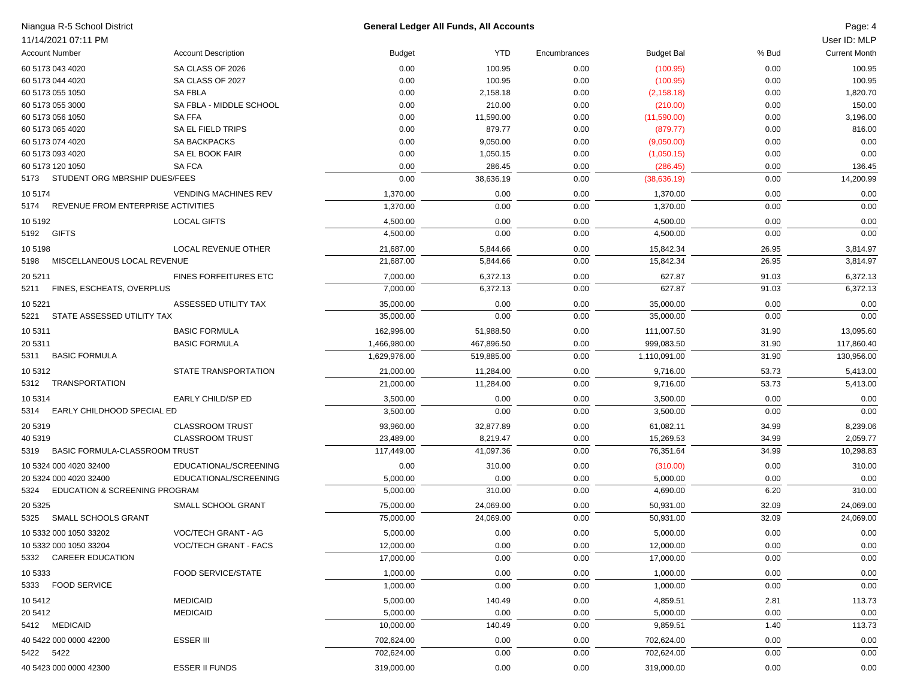| Niangua R-5 School District |  |  |  |  |
|-----------------------------|--|--|--|--|
|-----------------------------|--|--|--|--|

## Niangua R-5 School District Page: 4 **General Ledger All Funds, All Accounts**

|--|--|

| 11/14/2021 07:11 PM                             |                              |               |            |              |                   |       | User ID: MLP         |
|-------------------------------------------------|------------------------------|---------------|------------|--------------|-------------------|-------|----------------------|
| <b>Account Number</b>                           | <b>Account Description</b>   | <b>Budget</b> | <b>YTD</b> | Encumbrances | <b>Budget Bal</b> | % Bud | <b>Current Month</b> |
| 60 5173 043 4020                                | SA CLASS OF 2026             | 0.00          | 100.95     | 0.00         | (100.95)          | 0.00  | 100.95               |
| 60 5173 044 4020                                | SA CLASS OF 2027             | 0.00          | 100.95     | 0.00         | (100.95)          | 0.00  | 100.95               |
| 60 5173 055 1050                                | <b>SA FBLA</b>               | 0.00          | 2,158.18   | 0.00         | (2, 158.18)       | 0.00  | 1,820.70             |
| 60 5173 055 3000                                | SA FBLA - MIDDLE SCHOOL      | 0.00          | 210.00     | 0.00         | (210.00)          | 0.00  | 150.00               |
| 60 5173 056 1050                                | <b>SAFFA</b>                 | 0.00          | 11,590.00  | 0.00         | (11,590.00)       | 0.00  | 3,196.00             |
| 60 5173 065 4020                                | SA EL FIELD TRIPS            | 0.00          | 879.77     | 0.00         | (879.77)          | 0.00  | 816.00               |
| 60 5173 074 4020                                | <b>SA BACKPACKS</b>          | 0.00          | 9,050.00   | 0.00         | (9,050.00)        | 0.00  | 0.00                 |
| 60 5173 093 4020                                | SA EL BOOK FAIR              | 0.00          | 1,050.15   | 0.00         | (1,050.15)        | 0.00  | 0.00                 |
| 60 5173 120 1050                                | <b>SA FCA</b>                | 0.00          | 286.45     | 0.00         | (286.45)          | 0.00  | 136.45               |
| 5173 STUDENT ORG MBRSHIP DUES/FEES              |                              | 0.00          | 38,636.19  | 0.00         | (38, 636.19)      | 0.00  | 14,200.99            |
| 105174                                          | <b>VENDING MACHINES REV</b>  | 1,370.00      | 0.00       | 0.00         | 1,370.00          | 0.00  | 0.00                 |
| REVENUE FROM ENTERPRISE ACTIVITIES<br>5174      |                              | 1,370.00      | 0.00       | 0.00         | 1,370.00          | 0.00  | 0.00                 |
| 10 5192                                         | <b>LOCAL GIFTS</b>           | 4,500.00      | 0.00       | 0.00         | 4,500.00          | 0.00  | 0.00                 |
| 5192 GIFTS                                      |                              | 4,500.00      | 0.00       | 0.00         | 4,500.00          | 0.00  | 0.00                 |
| 105198                                          | <b>LOCAL REVENUE OTHER</b>   | 21,687.00     | 5,844.66   | 0.00         | 15,842.34         | 26.95 | 3,814.97             |
| 5198<br>MISCELLANEOUS LOCAL REVENUE             |                              | 21,687.00     | 5,844.66   | 0.00         | 15,842.34         | 26.95 | 3,814.97             |
| 20 5 211                                        | <b>FINES FORFEITURES ETC</b> | 7,000.00      | 6,372.13   | 0.00         | 627.87            | 91.03 | 6,372.13             |
| FINES, ESCHEATS, OVERPLUS<br>5211               |                              | 7,000.00      | 6,372.13   | 0.00         | 627.87            | 91.03 | 6,372.13             |
|                                                 |                              |               |            |              |                   |       |                      |
| 10 5221                                         | ASSESSED UTILITY TAX         | 35,000.00     | 0.00       | 0.00         | 35,000.00         | 0.00  | 0.00                 |
| STATE ASSESSED UTILITY TAX<br>5221              |                              | 35,000.00     | 0.00       | 0.00         | 35,000.00         | 0.00  | 0.00                 |
| 105311                                          | <b>BASIC FORMULA</b>         | 162,996.00    | 51,988.50  | 0.00         | 111,007.50        | 31.90 | 13,095.60            |
| 20 5311                                         | <b>BASIC FORMULA</b>         | 1,466,980.00  | 467,896.50 | 0.00         | 999,083.50        | 31.90 | 117,860.40           |
| <b>BASIC FORMULA</b><br>5311                    |                              | 1,629,976.00  | 519,885.00 | 0.00         | 1,110,091.00      | 31.90 | 130,956.00           |
| 10 5312                                         | STATE TRANSPORTATION         | 21,000.00     | 11,284.00  | 0.00         | 9,716.00          | 53.73 | 5,413.00             |
| <b>TRANSPORTATION</b><br>5312                   |                              | 21,000.00     | 11,284.00  | 0.00         | 9,716.00          | 53.73 | 5,413.00             |
| 10 5314                                         | EARLY CHILD/SP ED            | 3,500.00      | 0.00       | 0.00         | 3,500.00          | 0.00  | 0.00                 |
| EARLY CHILDHOOD SPECIAL ED<br>5314              |                              | 3,500.00      | 0.00       | 0.00         | 3,500.00          | 0.00  | 0.00                 |
| 20 5319                                         | <b>CLASSROOM TRUST</b>       | 93,960.00     | 32,877.89  | 0.00         | 61,082.11         | 34.99 | 8,239.06             |
| 40 5319                                         | <b>CLASSROOM TRUST</b>       | 23,489.00     | 8,219.47   | 0.00         | 15,269.53         | 34.99 | 2,059.77             |
| <b>BASIC FORMULA-CLASSROOM TRUST</b><br>5319    |                              | 117,449.00    | 41,097.36  | 0.00         | 76,351.64         | 34.99 | 10,298.83            |
| 10 5324 000 4020 32400                          | EDUCATIONAL/SCREENING        | 0.00          | 310.00     | 0.00         | (310.00)          | 0.00  | 310.00               |
| 20 5324 000 4020 32400                          | EDUCATIONAL/SCREENING        | 5,000.00      | 0.00       | 0.00         | 5,000.00          | 0.00  | 0.00                 |
| EDUCATION & SCREENING PROGRAM<br>5324           |                              | 5,000.00      | 310.00     | 0.00         | 4,690.00          | 6.20  | 310.00               |
| 20 5325                                         | SMALL SCHOOL GRANT           | 75,000.00     | 24,069.00  | 0.00         | 50,931.00         | 32.09 | 24,069.00            |
| 5325<br>SMALL SCHOOLS GRANT                     |                              | 75,000.00     | 24,069.00  | 0.00         | 50,931.00         | 32.09 | 24,069.00            |
|                                                 |                              |               |            |              |                   |       |                      |
| 10 5332 000 1050 33202                          | VOC/TECH GRANT - AG          | 5,000.00      | 0.00       | 0.00         | 5,000.00          | 0.00  | 0.00                 |
| 10 5332 000 1050 33204<br>5332 CAREER EDUCATION | VOC/TECH GRANT - FACS        | 12,000.00     | 0.00       | 0.00         | 12,000.00         | 0.00  | 0.00                 |
|                                                 |                              | 17,000.00     | 0.00       | 0.00         | 17,000.00         | 0.00  | 0.00                 |
| 10 5333                                         | <b>FOOD SERVICE/STATE</b>    | 1,000.00      | 0.00       | 0.00         | 1,000.00          | 0.00  | 0.00                 |
| 5333 FOOD SERVICE                               |                              | 1,000.00      | 0.00       | 0.00         | 1,000.00          | 0.00  | 0.00                 |
| 10 5412                                         | <b>MEDICAID</b>              | 5,000.00      | 140.49     | 0.00         | 4,859.51          | 2.81  | 113.73               |
| 20 5412                                         | <b>MEDICAID</b>              | 5,000.00      | 0.00       | 0.00         | 5,000.00          | 0.00  | 0.00                 |
| 5412 MEDICAID                                   |                              | 10,000.00     | 140.49     | 0.00         | 9,859.51          | 1.40  | 113.73               |
| 40 5422 000 0000 42200                          | ESSER III                    | 702,624.00    | 0.00       | 0.00         | 702,624.00        | 0.00  | 0.00                 |
| 5422 5422                                       |                              | 702,624.00    | 0.00       | 0.00         | 702,624.00        | 0.00  | 0.00                 |
| 40 5423 000 0000 42300                          | <b>ESSER II FUNDS</b>        | 319,000.00    | 0.00       | 0.00         | 319,000.00        | 0.00  | 0.00                 |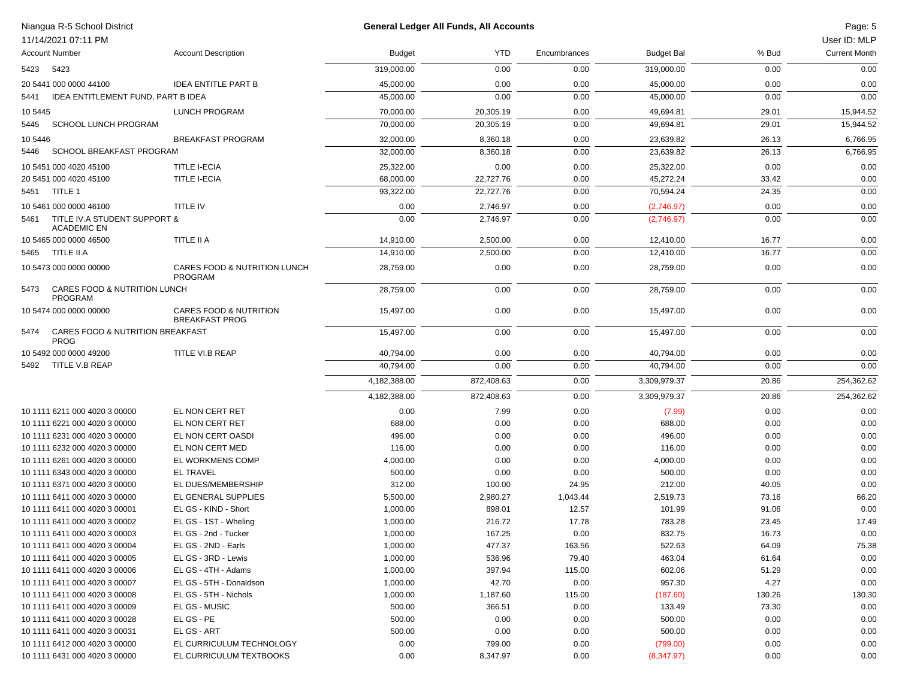|         | Niangua R-5 School District                     |                                                           |               | <b>General Ledger All Funds, All Accounts</b> |              |                          |        | Page: 5              |
|---------|-------------------------------------------------|-----------------------------------------------------------|---------------|-----------------------------------------------|--------------|--------------------------|--------|----------------------|
|         | 11/14/2021 07:11 PM                             |                                                           |               |                                               |              |                          |        | User ID: MLP         |
|         | Account Number                                  | <b>Account Description</b>                                | <b>Budget</b> | <b>YTD</b>                                    | Encumbrances | <b>Budget Bal</b>        | % Bud  | <b>Current Month</b> |
| 5423    | 5423                                            |                                                           | 319,000.00    | 0.00                                          | 0.00         | 319,000.00               | 0.00   | 0.00                 |
|         | 20 5441 000 0000 44100                          | <b>IDEA ENTITLE PART B</b>                                | 45,000.00     | 0.00                                          | 0.00         | 45,000.00                | 0.00   | 0.00                 |
| 5441    | IDEA ENTITLEMENT FUND, PART B IDEA              |                                                           | 45,000.00     | 0.00                                          | 0.00         | 45,000.00                | 0.00   | 0.00                 |
| 10 5445 |                                                 | <b>LUNCH PROGRAM</b>                                      | 70,000.00     | 20,305.19                                     | 0.00         | 49,694.81                | 29.01  | 15,944.52            |
|         | 5445 SCHOOL LUNCH PROGRAM                       |                                                           | 70,000.00     | 20,305.19                                     | 0.00         | 49,694.81                | 29.01  | 15,944.52            |
| 10 5446 |                                                 | <b>BREAKFAST PROGRAM</b>                                  | 32,000.00     | 8,360.18                                      | 0.00         | 23,639.82                | 26.13  | 6,766.95             |
|         | 5446 SCHOOL BREAKFAST PROGRAM                   |                                                           | 32,000.00     | 8,360.18                                      | 0.00         | 23,639.82                | 26.13  | 6,766.95             |
|         | 10 5451 000 4020 45100                          | <b>TITLE I-ECIA</b>                                       | 25,322.00     | 0.00                                          | 0.00         | 25,322.00                | 0.00   | 0.00                 |
|         | 20 5451 000 4020 45100                          | <b>TITLE I-ECIA</b>                                       | 68,000.00     | 22,727.76                                     | 0.00         | 45,272.24                | 33.42  | 0.00                 |
|         | 5451 TITLE 1                                    |                                                           | 93,322.00     | 22,727.76                                     | 0.00         | 70,594.24                | 24.35  | 0.00                 |
|         | 10 5461 000 0000 46100                          | TITLE IV                                                  | 0.00          | 2,746.97                                      | 0.00         |                          | 0.00   | 0.00                 |
| 5461    | TITLE IV.A STUDENT SUPPORT &                    |                                                           | 0.00          | 2,746.97                                      | 0.00         | (2,746.97)<br>(2,746.97) | 0.00   | 0.00                 |
|         | <b>ACADEMIC EN</b>                              |                                                           |               |                                               |              |                          |        |                      |
|         | 10 5465 000 0000 46500                          | TITLE II A                                                | 14,910.00     | 2,500.00                                      | 0.00         | 12,410.00                | 16.77  | 0.00                 |
| 5465    | TITLE II.A                                      |                                                           | 14,910.00     | 2,500.00                                      | 0.00         | 12,410.00                | 16.77  | 0.00                 |
|         | 10 5473 000 0000 00000                          | <b>CARES FOOD &amp; NUTRITION LUNCH</b><br><b>PROGRAM</b> | 28,759.00     | 0.00                                          | 0.00         | 28,759.00                | 0.00   | 0.00                 |
| 5473    | CARES FOOD & NUTRITION LUNCH<br><b>PROGRAM</b>  |                                                           | 28,759.00     | 0.00                                          | 0.00         | 28,759.00                | 0.00   | 0.00                 |
|         | 10 5474 000 0000 00000                          | CARES FOOD & NUTRITION<br><b>BREAKFAST PROG</b>           | 15,497.00     | 0.00                                          | 0.00         | 15,497.00                | 0.00   | 0.00                 |
| 5474    | CARES FOOD & NUTRITION BREAKFAST<br><b>PROG</b> |                                                           | 15,497.00     | 0.00                                          | 0.00         | 15,497.00                | 0.00   | 0.00                 |
|         | 10 5492 000 0000 49200                          | TITLE VI.B REAP                                           | 40,794.00     | 0.00                                          | 0.00         | 40,794.00                | 0.00   | 0.00                 |
| 5492    | TITLE V.B REAP                                  |                                                           | 40,794.00     | 0.00                                          | 0.00         | 40,794.00                | 0.00   | 0.00                 |
|         |                                                 |                                                           | 4,182,388.00  | 872,408.63                                    | 0.00         | 3,309,979.37             | 20.86  | 254,362.62           |
|         |                                                 |                                                           | 4,182,388.00  | 872,408.63                                    | 0.00         | 3,309,979.37             | 20.86  | 254,362.62           |
|         | 10 1111 6211 000 4020 3 00000                   | EL NON CERT RET                                           | 0.00          | 7.99                                          | 0.00         | (7.99)                   | 0.00   | 0.00                 |
|         | 10 1111 6221 000 4020 3 00000                   | EL NON CERT RET                                           | 688.00        | 0.00                                          | 0.00         | 688.00                   | 0.00   | 0.00                 |
|         | 10 1111 6231 000 4020 3 00000                   | EL NON CERT OASDI                                         | 496.00        | 0.00                                          | 0.00         | 496.00                   | 0.00   | 0.00                 |
|         | 10 1111 6232 000 4020 3 00000                   | EL NON CERT MED                                           | 116.00        | 0.00                                          | 0.00         | 116.00                   | 0.00   | 0.00                 |
|         | 10 1111 6261 000 4020 3 00000                   | EL WORKMENS COMP                                          | 4,000.00      | 0.00                                          | 0.00         | 4,000.00                 | 0.00   | 0.00                 |
|         | 10 1111 6343 000 4020 3 00000                   | <b>EL TRAVEL</b>                                          | 500.00        | 0.00                                          | 0.00         | 500.00                   | 0.00   | 0.00                 |
|         | 10 1111 6371 000 4020 3 00000                   | EL DUES/MEMBERSHIP                                        | 312.00        | 100.00                                        | 24.95        | 212.00                   | 40.05  | 0.00                 |
|         | 10 1111 6411 000 4020 3 00000                   | EL GENERAL SUPPLIES                                       | 5,500.00      | 2,980.27                                      | 1,043.44     | 2,519.73                 | 73.16  | 66.20                |
|         | 10 1111 6411 000 4020 3 00001                   | EL GS - KIND - Short                                      | 1,000.00      | 898.01                                        | 12.57        | 101.99                   | 91.06  | 0.00                 |
|         | 10 1111 6411 000 4020 3 00002                   | EL GS - 1ST - Wheling                                     | 1,000.00      | 216.72                                        | 17.78        | 783.28                   | 23.45  | 17.49                |
|         | 10 1111 6411 000 4020 3 00003                   | EL GS - 2nd - Tucker                                      | 1,000.00      | 167.25                                        | 0.00         | 832.75                   | 16.73  | 0.00                 |
|         | 10 1111 6411 000 4020 3 00004                   | EL GS - 2ND - Earls                                       | 1,000.00      | 477.37                                        | 163.56       | 522.63                   | 64.09  | 75.38                |
|         | 10 1111 6411 000 4020 3 00005                   | EL GS - 3RD - Lewis                                       | 1,000.00      | 536.96                                        | 79.40        | 463.04                   | 61.64  | 0.00                 |
|         | 10 1111 6411 000 4020 3 00006                   | EL GS - 4TH - Adams                                       | 1,000.00      | 397.94                                        | 115.00       | 602.06                   | 51.29  | 0.00                 |
|         | 10 1111 6411 000 4020 3 00007                   | EL GS - 5TH - Donaldson                                   | 1,000.00      | 42.70                                         | 0.00         | 957.30                   | 4.27   | 0.00                 |
|         | 10 1111 6411 000 4020 3 00008                   | EL GS - 5TH - Nichols                                     | 1,000.00      | 1,187.60                                      | 115.00       | (187.60)                 | 130.26 | 130.30               |
|         | 10 1111 6411 000 4020 3 00009                   | EL GS - MUSIC                                             | 500.00        | 366.51                                        | 0.00         | 133.49                   | 73.30  | 0.00                 |
|         | 10 1111 6411 000 4020 3 00028                   | EL GS - PE                                                | 500.00        | 0.00                                          | 0.00         | 500.00                   | 0.00   | 0.00                 |
|         | 10 1111 6411 000 4020 3 00031                   | EL GS - ART                                               | 500.00        | 0.00                                          | 0.00         | 500.00                   | 0.00   | 0.00                 |
|         | 10 1111 6412 000 4020 3 00000                   | EL CURRICULUM TECHNOLOGY                                  | 0.00          | 799.00                                        | 0.00         | (799.00)                 | 0.00   | 0.00                 |
|         | 10 1111 6431 000 4020 3 00000                   | EL CURRICULUM TEXTBOOKS                                   | 0.00          | 8,347.97                                      | 0.00         | (8,347.97)               | 0.00   | 0.00                 |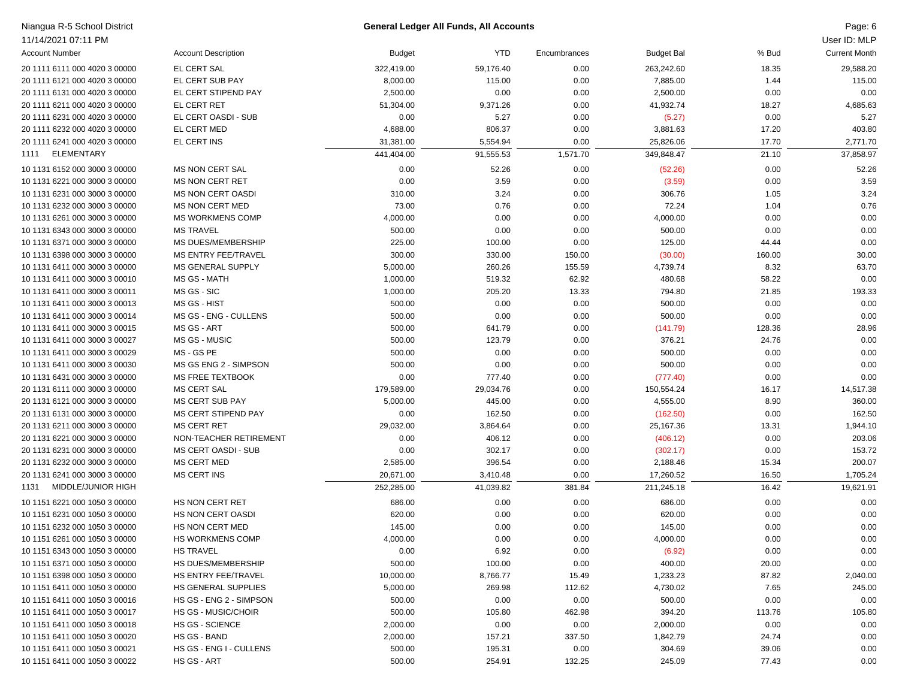| Niangua R-5 School District   |                            |               | <b>General Ledger All Funds, All Accounts</b> |              |                   |        | Page: 6              |
|-------------------------------|----------------------------|---------------|-----------------------------------------------|--------------|-------------------|--------|----------------------|
| 11/14/2021 07:11 PM           |                            |               |                                               |              |                   |        | User ID: MLP         |
| <b>Account Number</b>         | <b>Account Description</b> | <b>Budget</b> | YTD                                           | Encumbrances | <b>Budget Bal</b> | % Bud  | <b>Current Month</b> |
| 20 1111 6111 000 4020 3 00000 | EL CERT SAL                | 322,419.00    | 59,176.40                                     | 0.00         | 263,242.60        | 18.35  | 29,588.20            |
| 20 1111 6121 000 4020 3 00000 | EL CERT SUB PAY            | 8,000.00      | 115.00                                        | 0.00         | 7,885.00          | 1.44   | 115.00               |
| 20 1111 6131 000 4020 3 00000 | EL CERT STIPEND PAY        | 2,500.00      | 0.00                                          | 0.00         | 2,500.00          | 0.00   | 0.00                 |
| 20 1111 6211 000 4020 3 00000 | EL CERT RET                | 51,304.00     | 9,371.26                                      | 0.00         | 41,932.74         | 18.27  | 4,685.63             |
| 20 1111 6231 000 4020 3 00000 | EL CERT OASDI - SUB        | 0.00          | 5.27                                          | 0.00         | (5.27)            | 0.00   | 5.27                 |
| 20 1111 6232 000 4020 3 00000 | EL CERT MED                | 4,688.00      | 806.37                                        | 0.00         | 3,881.63          | 17.20  | 403.80               |
| 20 1111 6241 000 4020 3 00000 | EL CERT INS                | 31,381.00     | 5,554.94                                      | 0.00         | 25,826.06         | 17.70  | 2,771.70             |
| <b>ELEMENTARY</b><br>1111     |                            | 441,404.00    | 91,555.53                                     | 1,571.70     | 349,848.47        | 21.10  | 37,858.97            |
| 10 1131 6152 000 3000 3 00000 | MS NON CERT SAL            | 0.00          | 52.26                                         | 0.00         | (52.26)           | 0.00   | 52.26                |
| 10 1131 6221 000 3000 3 00000 | <b>MS NON CERT RET</b>     | 0.00          | 3.59                                          | 0.00         | (3.59)            | 0.00   | 3.59                 |
| 10 1131 6231 000 3000 3 00000 | <b>MS NON CERT OASDI</b>   | 310.00        | 3.24                                          | 0.00         | 306.76            | 1.05   | 3.24                 |
| 10 1131 6232 000 3000 3 00000 | MS NON CERT MED            | 73.00         | 0.76                                          | 0.00         | 72.24             | 1.04   | 0.76                 |
| 10 1131 6261 000 3000 3 00000 | <b>MS WORKMENS COMP</b>    | 4,000.00      | 0.00                                          | 0.00         | 4,000.00          | 0.00   | 0.00                 |
| 10 1131 6343 000 3000 3 00000 | <b>MS TRAVEL</b>           | 500.00        | 0.00                                          | 0.00         | 500.00            | 0.00   | 0.00                 |
| 10 1131 6371 000 3000 3 00000 | MS DUES/MEMBERSHIP         | 225.00        | 100.00                                        | 0.00         | 125.00            | 44.44  | 0.00                 |
| 10 1131 6398 000 3000 3 00000 | MS ENTRY FEE/TRAVEL        | 300.00        | 330.00                                        | 150.00       | (30.00)           | 160.00 | 30.00                |
| 10 1131 6411 000 3000 3 00000 | MS GENERAL SUPPLY          | 5,000.00      | 260.26                                        | 155.59       | 4,739.74          | 8.32   | 63.70                |
| 10 1131 6411 000 3000 3 00010 | MS GS - MATH               | 1,000.00      | 519.32                                        | 62.92        | 480.68            | 58.22  | 0.00                 |
| 10 1131 6411 000 3000 3 00011 | MS GS - SIC                | 1,000.00      | 205.20                                        | 13.33        | 794.80            | 21.85  | 193.33               |
| 10 1131 6411 000 3000 3 00013 | MS GS - HIST               | 500.00        | 0.00                                          | 0.00         | 500.00            | 0.00   | 0.00                 |
| 10 1131 6411 000 3000 3 00014 | MS GS - ENG - CULLENS      | 500.00        | 0.00                                          | 0.00         | 500.00            | 0.00   | 0.00                 |
| 10 1131 6411 000 3000 3 00015 | MS GS - ART                | 500.00        | 641.79                                        | 0.00         | (141.79)          | 128.36 | 28.96                |
| 10 1131 6411 000 3000 3 00027 | MS GS - MUSIC              | 500.00        | 123.79                                        | 0.00         | 376.21            | 24.76  | 0.00                 |
| 10 1131 6411 000 3000 3 00029 | MS - GS PE                 | 500.00        | 0.00                                          | 0.00         | 500.00            | 0.00   | 0.00                 |
| 10 1131 6411 000 3000 3 00030 | MS GS ENG 2 - SIMPSON      | 500.00        | 0.00                                          | 0.00         | 500.00            | 0.00   | 0.00                 |
| 10 1131 6431 000 3000 3 00000 | <b>MS FREE TEXTBOOK</b>    | 0.00          | 777.40                                        | 0.00         | (777.40)          | 0.00   | 0.00                 |
| 20 1131 6111 000 3000 3 00000 | <b>MS CERT SAL</b>         | 179,589.00    | 29,034.76                                     | 0.00         | 150,554.24        | 16.17  | 14,517.38            |
| 20 1131 6121 000 3000 3 00000 | <b>MS CERT SUB PAY</b>     | 5,000.00      | 445.00                                        | 0.00         | 4,555.00          | 8.90   | 360.00               |
| 20 1131 6131 000 3000 3 00000 | MS CERT STIPEND PAY        | 0.00          | 162.50                                        | 0.00         | (162.50)          | 0.00   | 162.50               |
| 20 1131 6211 000 3000 3 00000 | <b>MS CERT RET</b>         | 29,032.00     | 3,864.64                                      | 0.00         | 25,167.36         | 13.31  | 1,944.10             |
| 20 1131 6221 000 3000 3 00000 | NON-TEACHER RETIREMENT     | 0.00          | 406.12                                        | 0.00         | (406.12)          | 0.00   | 203.06               |
| 20 1131 6231 000 3000 3 00000 | MS CERT OASDI - SUB        | 0.00          | 302.17                                        | 0.00         | (302.17)          | 0.00   | 153.72               |
| 20 1131 6232 000 3000 3 00000 | <b>MS CERT MED</b>         | 2,585.00      | 396.54                                        | 0.00         | 2,188.46          | 15.34  | 200.07               |
| 20 1131 6241 000 3000 3 00000 | <b>MS CERT INS</b>         | 20,671.00     | 3,410.48                                      | 0.00         | 17,260.52         | 16.50  | 1,705.24             |
| MIDDLE/JUNIOR HIGH<br>1131    |                            | 252,285.00    | 41,039.82                                     | 381.84       | 211,245.18        | 16.42  | 19,621.91            |
| 10 1151 6221 000 1050 3 00000 | HS NON CERT RET            | 686.00        | 0.00                                          | 0.00         | 686.00            | 0.00   | 0.00                 |
| 10 1151 6231 000 1050 3 00000 | HS NON CERT OASDI          | 620.00        | 0.00                                          | 0.00         | 620.00            | 0.00   | 0.00                 |
| 10 1151 6232 000 1050 3 00000 | HS NON CERT MED            | 145.00        | 0.00                                          | 0.00         | 145.00            | 0.00   | 0.00                 |
| 10 1151 6261 000 1050 3 00000 | <b>HS WORKMENS COMP</b>    | 4,000.00      | 0.00                                          | 0.00         | 4,000.00          | 0.00   | 0.00                 |
| 10 1151 6343 000 1050 3 00000 | <b>HS TRAVEL</b>           | 0.00          | 6.92                                          | 0.00         | (6.92)            | 0.00   | 0.00                 |
| 10 1151 6371 000 1050 3 00000 | HS DUES/MEMBERSHIP         | 500.00        | 100.00                                        | 0.00         | 400.00            | 20.00  | 0.00                 |
| 10 1151 6398 000 1050 3 00000 | HS ENTRY FEE/TRAVEL        | 10,000.00     | 8,766.77                                      | 15.49        | 1,233.23          | 87.82  | 2,040.00             |
| 10 1151 6411 000 1050 3 00000 | HS GENERAL SUPPLIES        | 5,000.00      | 269.98                                        | 112.62       | 4,730.02          | 7.65   | 245.00               |
| 10 1151 6411 000 1050 3 00016 | HS GS - ENG 2 - SIMPSON    | 500.00        | 0.00                                          | 0.00         | 500.00            | 0.00   | 0.00                 |
| 10 1151 6411 000 1050 3 00017 | HS GS - MUSIC/CHOIR        | 500.00        | 105.80                                        | 462.98       | 394.20            | 113.76 | 105.80               |
| 10 1151 6411 000 1050 3 00018 | <b>HS GS - SCIENCE</b>     | 2,000.00      | 0.00                                          | 0.00         | 2,000.00          | 0.00   | 0.00                 |
| 10 1151 6411 000 1050 3 00020 | HS GS - BAND               | 2,000.00      | 157.21                                        | 337.50       | 1,842.79          | 24.74  | 0.00                 |
| 10 1151 6411 000 1050 3 00021 | HS GS - ENG I - CULLENS    | 500.00        | 195.31                                        | 0.00         | 304.69            | 39.06  | 0.00                 |
| 10 1151 6411 000 1050 3 00022 | HS GS - ART                | 500.00        | 254.91                                        | 132.25       | 245.09            | 77.43  | 0.00                 |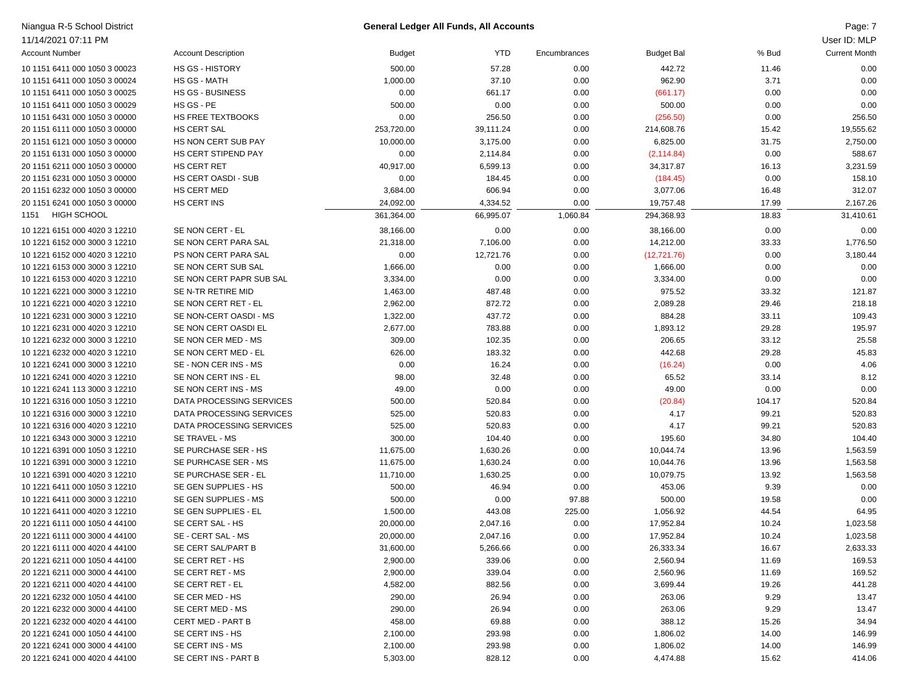| Niangua R-5 School District                                    |                                                      |                     | <b>General Ledger All Funds, All Accounts</b> |              |                     |                 | Page: 7              |
|----------------------------------------------------------------|------------------------------------------------------|---------------------|-----------------------------------------------|--------------|---------------------|-----------------|----------------------|
| 11/14/2021 07:11 PM                                            |                                                      |                     |                                               |              |                     |                 | User ID: MLP         |
| <b>Account Number</b>                                          | <b>Account Description</b>                           | <b>Budget</b>       | <b>YTD</b>                                    | Encumbrances | <b>Budget Bal</b>   | % Bud           | <b>Current Month</b> |
| 10 1151 6411 000 1050 3 00023                                  | <b>HS GS - HISTORY</b>                               | 500.00              | 57.28                                         | 0.00         | 442.72              | 11.46           | 0.00                 |
| 10 1151 6411 000 1050 3 00024                                  | HS GS - MATH                                         | 1,000.00            | 37.10                                         | 0.00         | 962.90              | 3.71            | 0.00                 |
| 10 1151 6411 000 1050 3 00025                                  | <b>HS GS - BUSINESS</b>                              | 0.00                | 661.17                                        | 0.00         | (661.17)            | 0.00            | 0.00                 |
| 10 1151 6411 000 1050 3 00029                                  | HS GS - PE                                           | 500.00              | 0.00                                          | 0.00         | 500.00              | 0.00            | 0.00                 |
| 10 1151 6431 000 1050 3 00000                                  | HS FREE TEXTBOOKS                                    | 0.00                | 256.50                                        | 0.00         | (256.50)            | 0.00            | 256.50               |
| 20 1151 6111 000 1050 3 00000                                  | HS CERT SAL                                          | 253,720.00          | 39,111.24                                     | 0.00         | 214,608.76          | 15.42           | 19,555.62            |
| 20 1151 6121 000 1050 3 00000                                  | HS NON CERT SUB PAY                                  | 10,000.00           | 3,175.00                                      | 0.00         | 6,825.00            | 31.75           | 2,750.00             |
| 20 1151 6131 000 1050 3 00000                                  | HS CERT STIPEND PAY                                  | 0.00                | 2,114.84                                      | 0.00         | (2, 114.84)         | 0.00            | 588.67               |
| 20 1151 6211 000 1050 3 00000                                  | <b>HS CERT RET</b>                                   | 40,917.00           | 6,599.13                                      | 0.00         | 34,317.87           | 16.13           | 3,231.59             |
| 20 1151 6231 000 1050 3 00000                                  | <b>HS CERT OASDI - SUB</b>                           | 0.00                | 184.45                                        | 0.00         | (184.45)            | 0.00            | 158.10               |
| 20 1151 6232 000 1050 3 00000                                  | HS CERT MED                                          | 3,684.00            | 606.94                                        | 0.00         | 3,077.06            | 16.48           | 312.07               |
| 20 1151 6241 000 1050 3 00000                                  | HS CERT INS                                          | 24,092.00           | 4,334.52                                      | 0.00         | 19,757.48           | 17.99           | 2,167.26             |
| <b>HIGH SCHOOL</b><br>1151                                     |                                                      | 361,364.00          | 66,995.07                                     | 1,060.84     | 294,368.93          | 18.83           | 31,410.61            |
|                                                                |                                                      |                     |                                               |              |                     |                 |                      |
| 10 1221 6151 000 4020 3 12210                                  | SE NON CERT - EL<br>SE NON CERT PARA SAL             | 38,166.00           | 0.00                                          | 0.00         | 38,166.00           | 0.00            | 0.00                 |
| 10 1221 6152 000 3000 3 12210                                  |                                                      | 21,318.00           | 7,106.00                                      | 0.00         | 14,212.00           | 33.33           | 1,776.50             |
| 10 1221 6152 000 4020 3 12210                                  | PS NON CERT PARA SAL                                 | 0.00                | 12,721.76                                     | 0.00         | (12,721.76)         | 0.00            | 3,180.44             |
| 10 1221 6153 000 3000 3 12210                                  | SE NON CERT SUB SAL<br>SE NON CERT PAPR SUB SAL      | 1,666.00            | 0.00                                          | 0.00         | 1,666.00            | 0.00            | 0.00                 |
| 10 1221 6153 000 4020 3 12210                                  | SE N-TR RETIRE MID                                   | 3,334.00            | 0.00                                          | 0.00         | 3,334.00            | 0.00            | 0.00                 |
| 10 1221 6221 000 3000 3 12210                                  |                                                      | 1,463.00            | 487.48                                        | 0.00         | 975.52              | 33.32           | 121.87               |
| 10 1221 6221 000 4020 3 12210                                  | SE NON CERT RET - EL                                 | 2,962.00            | 872.72                                        | 0.00         | 2,089.28            | 29.46           | 218.18               |
| 10 1221 6231 000 3000 3 12210                                  | SE NON-CERT OASDI - MS                               | 1,322.00            | 437.72                                        | 0.00         | 884.28              | 33.11           | 109.43               |
| 10 1221 6231 000 4020 3 12210                                  | SE NON CERT OASDI EL                                 | 2,677.00            | 783.88                                        | 0.00         | 1,893.12            | 29.28           | 195.97               |
| 10 1221 6232 000 3000 3 12210                                  | SE NON CER MED - MS<br>SE NON CERT MED - EL          | 309.00<br>626.00    | 102.35<br>183.32                              | 0.00         | 206.65<br>442.68    | 33.12<br>29.28  | 25.58<br>45.83       |
| 10 1221 6232 000 4020 3 12210                                  | SE - NON CER INS - MS                                | 0.00                |                                               | 0.00         |                     |                 |                      |
| 10 1221 6241 000 3000 3 12210                                  | SE NON CERT INS - EL                                 |                     | 16.24                                         | 0.00         | (16.24)             | 0.00            | 4.06                 |
| 10 1221 6241 000 4020 3 12210                                  |                                                      | 98.00<br>49.00      | 32.48                                         | 0.00         | 65.52               | 33.14           | 8.12                 |
| 10 1221 6241 113 3000 3 12210                                  | SE NON CERT INS - MS                                 |                     | 0.00                                          | 0.00         | 49.00               | 0.00            | 0.00                 |
| 10 1221 6316 000 1050 3 12210<br>10 1221 6316 000 3000 3 12210 | DATA PROCESSING SERVICES<br>DATA PROCESSING SERVICES | 500.00              | 520.84<br>520.83                              | 0.00         | (20.84)<br>4.17     | 104.17<br>99.21 | 520.84               |
|                                                                | DATA PROCESSING SERVICES                             | 525.00<br>525.00    | 520.83                                        | 0.00         |                     |                 | 520.83<br>520.83     |
| 10 1221 6316 000 4020 3 12210<br>10 1221 6343 000 3000 3 12210 | SE TRAVEL - MS                                       | 300.00              | 104.40                                        | 0.00<br>0.00 | 4.17<br>195.60      | 99.21<br>34.80  | 104.40               |
| 10 1221 6391 000 1050 3 12210                                  | SE PURCHASE SER - HS                                 | 11,675.00           |                                               | 0.00         |                     | 13.96           |                      |
|                                                                | SE PURHCASE SER - MS                                 |                     | 1,630.26                                      |              | 10,044.74           |                 | 1,563.59             |
| 10 1221 6391 000 3000 3 12210<br>10 1221 6391 000 4020 3 12210 | SE PURCHASE SER - EL                                 | 11,675.00           | 1,630.24                                      | 0.00         | 10,044.76           | 13.96           | 1,563.58             |
| 10 1221 6411 000 1050 3 12210                                  | SE GEN SUPPLIES - HS                                 | 11,710.00<br>500.00 | 1,630.25<br>46.94                             | 0.00<br>0.00 | 10,079.75<br>453.06 | 13.92<br>9.39   | 1,563.58<br>0.00     |
| 10 1221 6411 000 3000 3 12210                                  | SE GEN SUPPLIES - MS                                 | 500.00              | 0.00                                          | 97.88        | 500.00              | 19.58           | 0.00                 |
| 10 1221 6411 000 4020 3 12210                                  | SE GEN SUPPLIES - EL                                 | 1,500.00            | 443.08                                        | 225.00       | 1,056.92            | 44.54           | 64.95                |
| 20 1221 6111 000 1050 4 44100                                  | SE CERT SAL - HS                                     | 20,000.00           | 2,047.16                                      | 0.00         | 17,952.84           | 10.24           | 1,023.58             |
| 20 1221 6111 000 3000 4 44100                                  | SE - CERT SAL - MS                                   | 20,000.00           | 2,047.16                                      | 0.00         | 17,952.84           | 10.24           | 1,023.58             |
| 20 1221 6111 000 4020 4 44100                                  | SE CERT SAL/PART B                                   | 31,600.00           | 5,266.66                                      | 0.00         | 26,333.34           | 16.67           | 2,633.33             |
| 20 1221 6211 000 1050 4 44100                                  | SE CERT RET - HS                                     | 2,900.00            | 339.06                                        | 0.00         | 2,560.94            | 11.69           | 169.53               |
| 20 1221 6211 000 3000 4 44100                                  | SE CERT RET - MS                                     | 2,900.00            | 339.04                                        | 0.00         | 2,560.96            |                 | 169.52               |
| 20 1221 6211 000 4020 4 44100                                  | SE CERT RET - EL                                     | 4,582.00            | 882.56                                        | 0.00         | 3,699.44            | 11.69<br>19.26  | 441.28               |
| 20 1221 6232 000 1050 4 44100                                  | SE CER MED - HS                                      | 290.00              | 26.94                                         | 0.00         | 263.06              | 9.29            | 13.47                |
| 20 1221 6232 000 3000 4 44100                                  | SE CERT MED - MS                                     | 290.00              | 26.94                                         | 0.00         | 263.06              | 9.29            | 13.47                |
| 20 1221 6232 000 4020 4 44100                                  | CERT MED - PART B                                    | 458.00              | 69.88                                         | 0.00         | 388.12              | 15.26           | 34.94                |
| 20 1221 6241 000 1050 4 44100                                  | SE CERT INS - HS                                     | 2,100.00            | 293.98                                        | 0.00         | 1,806.02            | 14.00           | 146.99               |
| 20 1221 6241 000 3000 4 44100                                  | SE CERT INS - MS                                     | 2,100.00            | 293.98                                        | 0.00         | 1,806.02            | 14.00           | 146.99               |
| 20 1221 6241 000 4020 4 44100                                  | SE CERT INS - PART B                                 | 5,303.00            | 828.12                                        | 0.00         | 4,474.88            | 15.62           | 414.06               |
|                                                                |                                                      |                     |                                               |              |                     |                 |                      |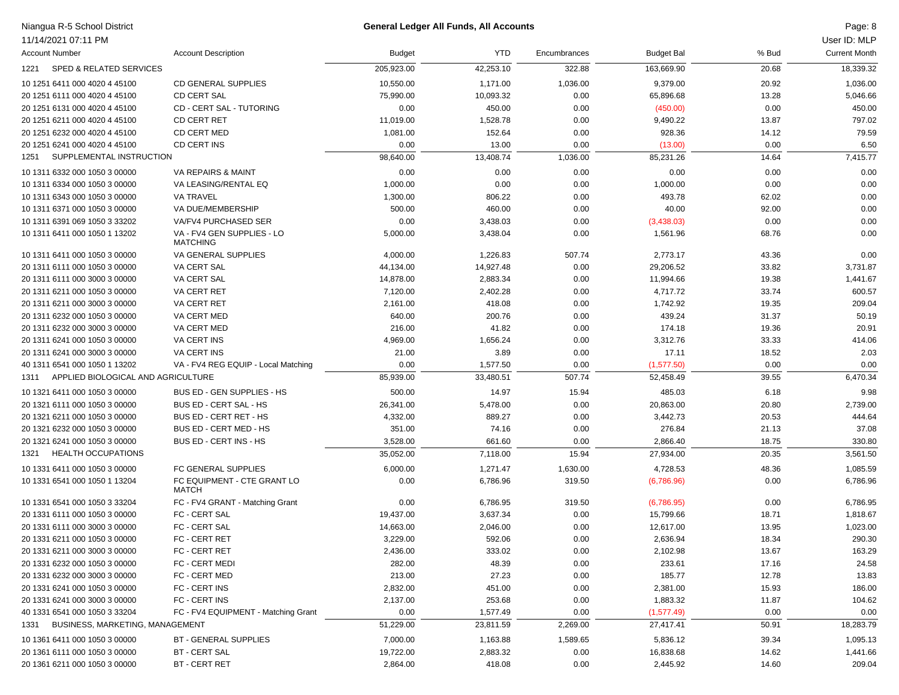# Niangua R-5 School District Page: 8 **General Ledger All Funds, All Accounts**

| 11/14/2021 07:11 PM                        |                                               |               |            |              |                   |       | User ID: MLP         |
|--------------------------------------------|-----------------------------------------------|---------------|------------|--------------|-------------------|-------|----------------------|
| <b>Account Number</b>                      | <b>Account Description</b>                    | <b>Budget</b> | <b>YTD</b> | Encumbrances | <b>Budget Bal</b> | % Bud | <b>Current Month</b> |
| <b>SPED &amp; RELATED SERVICES</b><br>1221 |                                               | 205,923.00    | 42,253.10  | 322.88       | 163,669.90        | 20.68 | 18,339.32            |
| 10 1251 6411 000 4020 4 45100              | <b>CD GENERAL SUPPLIES</b>                    | 10,550.00     | 1,171.00   | 1,036.00     | 9,379.00          | 20.92 | 1,036.00             |
| 20 1251 6111 000 4020 4 45100              | <b>CD CERT SAL</b>                            | 75,990.00     | 10,093.32  | 0.00         | 65,896.68         | 13.28 | 5,046.66             |
| 20 1251 6131 000 4020 4 45100              | CD - CERT SAL - TUTORING                      | 0.00          | 450.00     | 0.00         | (450.00)          | 0.00  | 450.00               |
| 20 1251 6211 000 4020 4 45100              | <b>CD CERT RET</b>                            | 11,019.00     | 1,528.78   | 0.00         | 9,490.22          | 13.87 | 797.02               |
| 20 1251 6232 000 4020 4 45100              | <b>CD CERT MED</b>                            | 1,081.00      | 152.64     | 0.00         | 928.36            | 14.12 | 79.59                |
| 20 1251 6241 000 4020 4 45100              | CD CERT INS                                   | 0.00          | 13.00      | 0.00         | (13.00)           | 0.00  | 6.50                 |
| SUPPLEMENTAL INSTRUCTION<br>1251           |                                               | 98,640.00     | 13,408.74  | 1,036.00     | 85,231.26         | 14.64 | 7,415.77             |
| 10 1311 6332 000 1050 3 00000              | VA REPAIRS & MAINT                            | 0.00          | 0.00       | 0.00         | 0.00              | 0.00  | 0.00                 |
| 10 1311 6334 000 1050 3 00000              | VA LEASING/RENTAL EQ                          | 1,000.00      | 0.00       | 0.00         | 1,000.00          | 0.00  | 0.00                 |
| 10 1311 6343 000 1050 3 00000              | <b>VA TRAVEL</b>                              | 1,300.00      | 806.22     | 0.00         | 493.78            | 62.02 | 0.00                 |
| 10 1311 6371 000 1050 3 00000              | VA DUE/MEMBERSHIP                             | 500.00        | 460.00     | 0.00         | 40.00             | 92.00 | 0.00                 |
| 10 1311 6391 069 1050 3 33202              | VA/FV4 PURCHASED SER                          | 0.00          | 3,438.03   | 0.00         | (3,438.03)        | 0.00  | 0.00                 |
| 10 1311 6411 000 1050 1 13202              | VA - FV4 GEN SUPPLIES - LO<br><b>MATCHING</b> | 5,000.00      | 3,438.04   | 0.00         | 1,561.96          | 68.76 | 0.00                 |
| 10 1311 6411 000 1050 3 00000              | VA GENERAL SUPPLIES                           | 4,000.00      | 1,226.83   | 507.74       | 2,773.17          | 43.36 | 0.00                 |
| 20 1311 6111 000 1050 3 00000              | VA CERT SAL                                   | 44,134.00     | 14,927.48  | 0.00         | 29,206.52         | 33.82 | 3,731.87             |
| 20 1311 6111 000 3000 3 00000              | VA CERT SAL                                   | 14,878.00     | 2,883.34   | 0.00         | 11,994.66         | 19.38 | 1,441.67             |
| 20 1311 6211 000 1050 3 00000              | VA CERT RET                                   | 7,120.00      | 2,402.28   | 0.00         | 4,717.72          | 33.74 | 600.57               |
| 20 1311 6211 000 3000 3 00000              | <b>VA CERT RET</b>                            | 2,161.00      | 418.08     | 0.00         | 1,742.92          | 19.35 | 209.04               |
| 20 1311 6232 000 1050 3 00000              | VA CERT MED                                   | 640.00        | 200.76     | 0.00         | 439.24            | 31.37 | 50.19                |
| 20 1311 6232 000 3000 3 00000              | VA CERT MED                                   | 216.00        | 41.82      | 0.00         | 174.18            | 19.36 | 20.91                |
| 20 1311 6241 000 1050 3 00000              | <b>VA CERT INS</b>                            | 4,969.00      | 1,656.24   | 0.00         | 3,312.76          | 33.33 | 414.06               |
| 20 1311 6241 000 3000 3 00000              | <b>VA CERT INS</b>                            | 21.00         | 3.89       | 0.00         | 17.11             | 18.52 | 2.03                 |
| 40 1311 6541 000 1050 1 13202              | VA - FV4 REG EQUIP - Local Matching           | 0.00          | 1,577.50   | 0.00         | (1,577.50)        | 0.00  | 0.00                 |
| APPLIED BIOLOGICAL AND AGRICULTURE<br>1311 |                                               | 85,939.00     | 33,480.51  | 507.74       | 52,458.49         | 39.55 | 6,470.34             |
| 10 1321 6411 000 1050 3 00000              | BUS ED - GEN SUPPLIES - HS                    | 500.00        | 14.97      | 15.94        | 485.03            | 6.18  | 9.98                 |
| 20 1321 6111 000 1050 3 00000              | BUS ED - CERT SAL - HS                        | 26,341.00     | 5,478.00   | 0.00         | 20,863.00         | 20.80 | 2,739.00             |
| 20 1321 6211 000 1050 3 00000              | BUS ED - CERT RET - HS                        | 4,332.00      | 889.27     | 0.00         | 3,442.73          | 20.53 | 444.64               |
| 20 1321 6232 000 1050 3 00000              | BUS ED - CERT MED - HS                        | 351.00        | 74.16      | 0.00         | 276.84            | 21.13 | 37.08                |
| 20 1321 6241 000 1050 3 00000              | BUS ED - CERT INS - HS                        | 3,528.00      | 661.60     | 0.00         | 2,866.40          | 18.75 | 330.80               |
| <b>HEALTH OCCUPATIONS</b><br>1321          |                                               | 35,052.00     | 7,118.00   | 15.94        | 27,934.00         | 20.35 | 3,561.50             |
| 10 1331 6411 000 1050 3 00000              | FC GENERAL SUPPLIES                           | 6,000.00      | 1,271.47   | 1,630.00     | 4,728.53          | 48.36 | 1,085.59             |
| 10 1331 6541 000 1050 1 13204              | FC EQUIPMENT - CTE GRANT LO<br><b>MATCH</b>   | 0.00          | 6,786.96   | 319.50       | (6,786.96)        | 0.00  | 6,786.96             |
| 10 1331 6541 000 1050 3 33204              | FC - FV4 GRANT - Matching Grant               | 0.00          | 6,786.95   | 319.50       | (6,786.95)        | 0.00  | 6,786.95             |
| 20 1331 6111 000 1050 3 00000              | FC - CERT SAL                                 | 19,437.00     | 3,637.34   | 0.00         | 15,799.66         | 18.71 | 1,818.67             |
| 20 1331 6111 000 3000 3 00000              | FC - CERT SAL                                 | 14,663.00     | 2,046.00   | 0.00         | 12,617.00         | 13.95 | 1,023.00             |
| 20 1331 6211 000 1050 3 00000              | FC - CERT RET                                 | 3,229.00      | 592.06     | 0.00         | 2,636.94          | 18.34 | 290.30               |
| 20 1331 6211 000 3000 3 00000              | FC - CERT RET                                 | 2,436.00      | 333.02     | 0.00         | 2,102.98          | 13.67 | 163.29               |
| 20 1331 6232 000 1050 3 00000              | FC - CERT MEDI                                | 282.00        | 48.39      | 0.00         | 233.61            | 17.16 | 24.58                |
| 20 1331 6232 000 3000 3 00000              | FC - CERT MED                                 | 213.00        | 27.23      | 0.00         | 185.77            | 12.78 | 13.83                |
| 20 1331 6241 000 1050 3 00000              | FC - CERT INS                                 | 2,832.00      | 451.00     | 0.00         | 2,381.00          | 15.93 | 186.00               |
| 20 1331 6241 000 3000 3 00000              | FC - CERT INS                                 | 2,137.00      | 253.68     | 0.00         | 1,883.32          | 11.87 | 104.62               |
| 40 1331 6541 000 1050 3 33204              | FC - FV4 EQUIPMENT - Matching Grant           | 0.00          | 1,577.49   | 0.00         | (1,577.49)        | 0.00  | 0.00                 |
| BUSINESS, MARKETING, MANAGEMENT<br>1331    |                                               | 51,229.00     | 23,811.59  | 2,269.00     | 27,417.41         | 50.91 | 18,283.79            |
| 10 1361 6411 000 1050 3 00000              | <b>BT - GENERAL SUPPLIES</b>                  | 7,000.00      | 1,163.88   | 1,589.65     | 5,836.12          | 39.34 | 1,095.13             |
| 20 1361 6111 000 1050 3 00000              | BT - CERT SAL                                 | 19,722.00     | 2,883.32   | 0.00         | 16,838.68         | 14.62 | 1,441.66             |
| 20 1361 6211 000 1050 3 00000              | <b>BT - CERT RET</b>                          | 2,864.00      | 418.08     | 0.00         | 2,445.92          | 14.60 | 209.04               |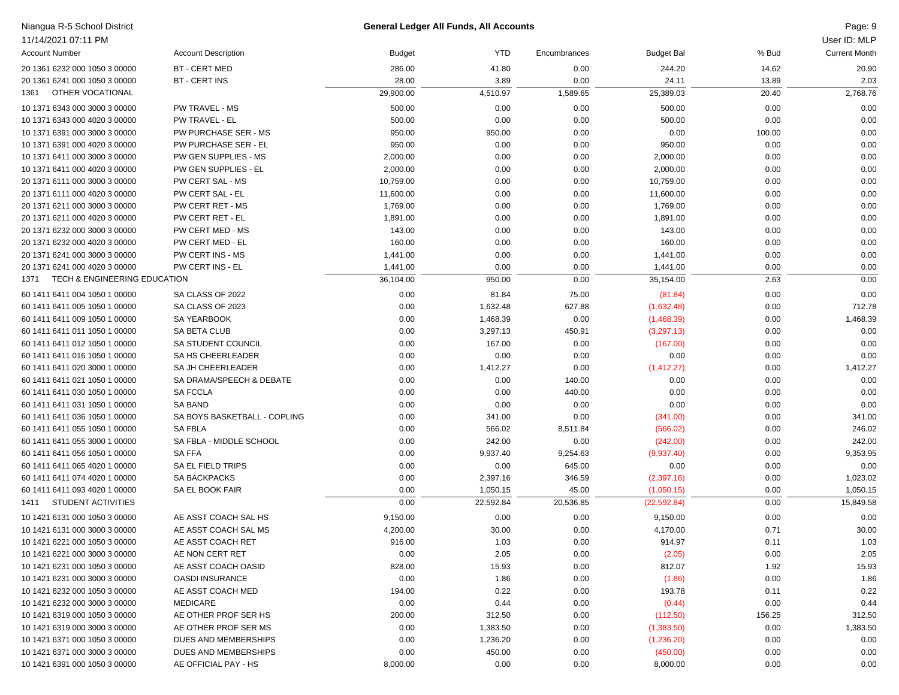| Niangua R-5 School District          |                              |               | <b>General Ledger All Funds, All Accounts</b> |              |                   |        | Page: 9              |
|--------------------------------------|------------------------------|---------------|-----------------------------------------------|--------------|-------------------|--------|----------------------|
| 11/14/2021 07:11 PM                  |                              |               |                                               |              |                   |        | User ID: MLP         |
| <b>Account Number</b>                | <b>Account Description</b>   | <b>Budget</b> | <b>YTD</b>                                    | Encumbrances | <b>Budget Bal</b> | % Bud  | <b>Current Month</b> |
| 20 1361 6232 000 1050 3 00000        | <b>BT - CERT MED</b>         | 286.00        | 41.80                                         | 0.00         | 244.20            | 14.62  | 20.90                |
| 20 1361 6241 000 1050 3 00000        | <b>BT - CERT INS</b>         | 28.00         | 3.89                                          | 0.00         | 24.11             | 13.89  | 2.03                 |
| OTHER VOCATIONAL<br>1361             |                              | 29,900.00     | 4,510.97                                      | 1,589.65     | 25,389.03         | 20.40  | 2,768.76             |
| 10 1371 6343 000 3000 3 00000        | PW TRAVEL - MS               | 500.00        | 0.00                                          | 0.00         | 500.00            | 0.00   | 0.00                 |
| 10 1371 6343 000 4020 3 00000        | PW TRAVEL - EL               | 500.00        | 0.00                                          | 0.00         | 500.00            | 0.00   | 0.00                 |
| 10 1371 6391 000 3000 3 00000        | PW PURCHASE SER - MS         | 950.00        | 950.00                                        | 0.00         | 0.00              | 100.00 | 0.00                 |
| 10 1371 6391 000 4020 3 00000        | PW PURCHASE SER - EL         | 950.00        | 0.00                                          | 0.00         | 950.00            | 0.00   | 0.00                 |
| 10 1371 6411 000 3000 3 00000        | PW GEN SUPPLIES - MS         | 2,000.00      | 0.00                                          | 0.00         | 2,000.00          | 0.00   | 0.00                 |
| 10 1371 6411 000 4020 3 00000        | PW GEN SUPPLIES - EL         | 2,000.00      | 0.00                                          | 0.00         | 2,000.00          | 0.00   | 0.00                 |
| 20 1371 6111 000 3000 3 00000        | PW CERT SAL - MS             | 10,759.00     | 0.00                                          | 0.00         | 10,759.00         | 0.00   | 0.00                 |
| 20 1371 6111 000 4020 3 00000        | PW CERT SAL - EL             | 11,600.00     | 0.00                                          | 0.00         | 11,600.00         | 0.00   | 0.00                 |
| 20 1371 6211 000 3000 3 00000        | PW CERT RET - MS             | 1,769.00      | 0.00                                          | 0.00         | 1,769.00          | 0.00   | 0.00                 |
| 20 1371 6211 000 4020 3 00000        | PW CERT RET - EL             | 1,891.00      | 0.00                                          | 0.00         | 1,891.00          | 0.00   | 0.00                 |
| 20 1371 6232 000 3000 3 00000        | PW CERT MED - MS             | 143.00        | 0.00                                          | 0.00         | 143.00            | 0.00   | 0.00                 |
| 20 1371 6232 000 4020 3 00000        | PW CERT MED - EL             | 160.00        | 0.00                                          | 0.00         | 160.00            | 0.00   | 0.00                 |
| 20 1371 6241 000 3000 3 00000        | PW CERT INS - MS             | 1,441.00      | 0.00                                          | 0.00         | 1,441.00          | 0.00   | 0.00                 |
| 20 1371 6241 000 4020 3 00000        | PW CERT INS - EL             | 1,441.00      | 0.00                                          | 0.00         | 1,441.00          | 0.00   | 0.00                 |
| TECH & ENGINEERING EDUCATION<br>1371 |                              | 36,104.00     | 950.00                                        | 0.00         | 35,154.00         | 2.63   | 0.00                 |
| 60 1411 6411 004 1050 1 00000        | SA CLASS OF 2022             | 0.00          | 81.84                                         | 75.00        | (81.84)           | 0.00   | 0.00                 |
| 60 1411 6411 005 1050 1 00000        | SA CLASS OF 2023             | 0.00          | 1,632.48                                      | 627.88       | (1,632.48)        | 0.00   | 712.78               |
| 60 1411 6411 009 1050 1 00000        | SA YEARBOOK                  | 0.00          | 1,468.39                                      | 0.00         | (1,468.39)        | 0.00   | 1,468.39             |
| 60 1411 6411 011 1050 1 00000        | SA BETA CLUB                 | 0.00          | 3,297.13                                      | 450.91       | (3,297.13)        | 0.00   | 0.00                 |
| 60 1411 6411 012 1050 1 00000        | SA STUDENT COUNCIL           | 0.00          | 167.00                                        | 0.00         | (167.00)          | 0.00   | 0.00                 |
| 60 1411 6411 016 1050 1 00000        | SA HS CHEERLEADER            | 0.00          | 0.00                                          | 0.00         | 0.00              | 0.00   | 0.00                 |
| 60 1411 6411 020 3000 1 00000        | SA JH CHEERLEADER            | 0.00          | 1,412.27                                      | 0.00         | (1,412.27)        | 0.00   | 1,412.27             |
| 60 1411 6411 021 1050 1 00000        | SA DRAMA/SPEECH & DEBATE     | 0.00          | 0.00                                          | 140.00       | 0.00              | 0.00   | 0.00                 |
| 60 1411 6411 030 1050 1 00000        | <b>SA FCCLA</b>              | 0.00          | 0.00                                          | 440.00       | 0.00              | 0.00   | 0.00                 |
| 60 1411 6411 031 1050 1 00000        | <b>SA BAND</b>               | 0.00          | 0.00                                          | 0.00         | 0.00              | 0.00   | 0.00                 |
| 60 1411 6411 036 1050 1 00000        | SA BOYS BASKETBALL - COPLING | 0.00          | 341.00                                        | 0.00         | (341.00)          | 0.00   | 341.00               |
| 60 1411 6411 055 1050 1 00000        | <b>SA FBLA</b>               | 0.00          | 566.02                                        | 8,511.84     | (566.02)          | 0.00   | 246.02               |
| 60 1411 6411 055 3000 1 00000        | SA FBLA - MIDDLE SCHOOL      | 0.00          | 242.00                                        | 0.00         | (242.00)          | 0.00   | 242.00               |
| 60 1411 6411 056 1050 1 00000        | <b>SAFFA</b>                 | 0.00          | 9,937.40                                      | 9,254.63     | (9,937.40)        | 0.00   | 9,353.95             |
| 60 1411 6411 065 4020 1 00000        | SA EL FIELD TRIPS            | 0.00          | 0.00                                          | 645.00       | 0.00              | 0.00   | 0.00                 |
| 60 1411 6411 074 4020 1 00000        | SA BACKPACKS                 | 0.00          | 2,397.16                                      | 346.59       | (2,397.16)        | 0.00   | 1,023.02             |
| 60 1411 6411 093 4020 1 00000        | SA EL BOOK FAIR              | 0.00          | 1,050.15                                      | 45.00        | (1,050.15)        | 0.00   | 1,050.15             |
| STUDENT ACTIVITIES<br>1411           |                              | 0.00          | 22,592.84                                     | 20,536.85    | (22, 592.84)      | 0.00   | 15,849.58            |
| 10 1421 6131 000 1050 3 00000        | AE ASST COACH SAL HS         | 9,150.00      | 0.00                                          | 0.00         | 9,150.00          | 0.00   | 0.00                 |
| 10 1421 6131 000 3000 3 00000        | AE ASST COACH SAL MS         | 4,200.00      | 30.00                                         | 0.00         | 4,170.00          | 0.71   | 30.00                |
| 10 1421 6221 000 1050 3 00000        | AE ASST COACH RET            | 916.00        | 1.03                                          | 0.00         | 914.97            | 0.11   | 1.03                 |
| 10 1421 6221 000 3000 3 00000        | AE NON CERT RET              | 0.00          | 2.05                                          | 0.00         | (2.05)            | 0.00   | 2.05                 |
| 10 1421 6231 000 1050 3 00000        | AE ASST COACH OASID          | 828.00        | 15.93                                         | 0.00         | 812.07            | 1.92   | 15.93                |
| 10 1421 6231 000 3000 3 00000        | <b>OASDI INSURANCE</b>       | 0.00          | 1.86                                          | 0.00         | (1.86)            | 0.00   | 1.86                 |
| 10 1421 6232 000 1050 3 00000        | AE ASST COACH MED            | 194.00        | 0.22                                          | 0.00         | 193.78            | 0.11   | 0.22                 |
| 10 1421 6232 000 3000 3 00000        | <b>MEDICARE</b>              | 0.00          | 0.44                                          | 0.00         | (0.44)            | 0.00   | 0.44                 |
| 10 1421 6319 000 1050 3 00000        | AE OTHER PROF SER HS         | 200.00        | 312.50                                        | 0.00         | (112.50)          | 156.25 | 312.50               |
| 10 1421 6319 000 3000 3 00000        | AE OTHER PROF SER MS         | 0.00          | 1,383.50                                      | 0.00         | (1,383.50)        | 0.00   | 1,383.50             |
| 10 1421 6371 000 1050 3 00000        | DUES AND MEMBERSHIPS         | 0.00          | 1,236.20                                      | 0.00         | (1,236.20)        | 0.00   | 0.00                 |
| 10 1421 6371 000 3000 3 00000        | DUES AND MEMBERSHIPS         | 0.00          | 450.00                                        | 0.00         | (450.00)          | 0.00   | 0.00                 |
| 10 1421 6391 000 1050 3 00000        | AE OFFICIAL PAY - HS         | 8,000.00      | 0.00                                          | 0.00         | 8,000.00          | 0.00   | 0.00                 |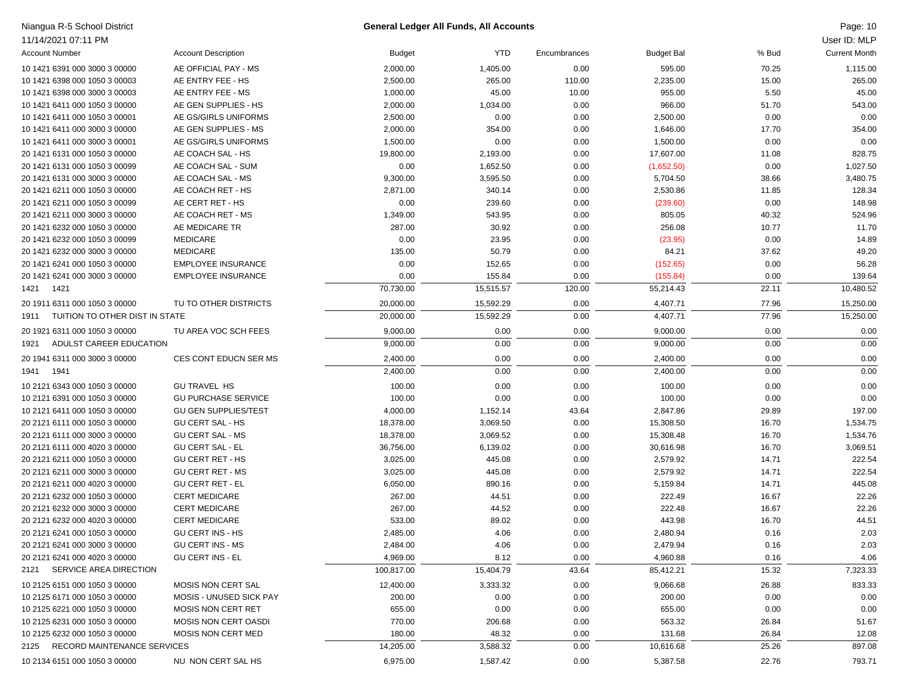| Niangua R-5 School District            |                             |               | General Ledger All Funds, All Accounts |              |                   |       | Page: 10             |
|----------------------------------------|-----------------------------|---------------|----------------------------------------|--------------|-------------------|-------|----------------------|
| 11/14/2021 07:11 PM                    |                             |               |                                        |              |                   |       | User ID: MLP         |
| <b>Account Number</b>                  | <b>Account Description</b>  | <b>Budget</b> | YTD                                    | Encumbrances | <b>Budget Bal</b> | % Bud | <b>Current Month</b> |
| 10 1421 6391 000 3000 3 00000          | AE OFFICIAL PAY - MS        | 2,000.00      | 1,405.00                               | 0.00         | 595.00            | 70.25 | 1,115.00             |
| 10 1421 6398 000 1050 3 00003          | AE ENTRY FEE - HS           | 2,500.00      | 265.00                                 | 110.00       | 2,235.00          | 15.00 | 265.00               |
| 10 1421 6398 000 3000 3 00003          | AE ENTRY FEE - MS           | 1,000.00      | 45.00                                  | 10.00        | 955.00            | 5.50  | 45.00                |
| 10 1421 6411 000 1050 3 00000          | AE GEN SUPPLIES - HS        | 2,000.00      | 1,034.00                               | 0.00         | 966.00            | 51.70 | 543.00               |
| 10 1421 6411 000 1050 3 00001          | AE GS/GIRLS UNIFORMS        | 2,500.00      | 0.00                                   | 0.00         | 2,500.00          | 0.00  | 0.00                 |
| 10 1421 6411 000 3000 3 00000          | AE GEN SUPPLIES - MS        | 2,000.00      | 354.00                                 | 0.00         | 1,646.00          | 17.70 | 354.00               |
| 10 1421 6411 000 3000 3 00001          | AE GS/GIRLS UNIFORMS        | 1,500.00      | 0.00                                   | 0.00         | 1,500.00          | 0.00  | 0.00                 |
| 20 1421 6131 000 1050 3 00000          | AE COACH SAL - HS           | 19,800.00     | 2,193.00                               | 0.00         | 17,607.00         | 11.08 | 828.75               |
| 20 1421 6131 000 1050 3 00099          | AE COACH SAL - SUM          | 0.00          | 1,652.50                               | 0.00         | (1,652.50)        | 0.00  | 1,027.50             |
| 20 1421 6131 000 3000 3 00000          | AE COACH SAL - MS           | 9,300.00      | 3,595.50                               | 0.00         | 5,704.50          | 38.66 | 3,480.75             |
| 20 1421 6211 000 1050 3 00000          | AE COACH RET - HS           | 2,871.00      | 340.14                                 | 0.00         | 2,530.86          | 11.85 | 128.34               |
| 20 1421 6211 000 1050 3 00099          | AE CERT RET - HS            | 0.00          | 239.60                                 | 0.00         | (239.60)          | 0.00  | 148.98               |
| 20 1421 6211 000 3000 3 00000          | AE COACH RET - MS           | 1,349.00      | 543.95                                 | 0.00         | 805.05            | 40.32 | 524.96               |
| 20 1421 6232 000 1050 3 00000          | AE MEDICARE TR              | 287.00        | 30.92                                  | 0.00         | 256.08            | 10.77 | 11.70                |
| 20 1421 6232 000 1050 3 00099          | <b>MEDICARE</b>             | 0.00          | 23.95                                  | 0.00         | (23.95)           | 0.00  | 14.89                |
| 20 1421 6232 000 3000 3 00000          | <b>MEDICARE</b>             | 135.00        | 50.79                                  | 0.00         | 84.21             | 37.62 | 49.20                |
| 20 1421 6241 000 1050 3 00000          | <b>EMPLOYEE INSURANCE</b>   | 0.00          | 152.65                                 | 0.00         | (152.65)          | 0.00  | 56.28                |
| 20 1421 6241 000 3000 3 00000          | <b>EMPLOYEE INSURANCE</b>   | 0.00          | 155.84                                 | 0.00         | (155.84)          | 0.00  | 139.64               |
| 1421<br>1421                           |                             | 70,730.00     | 15,515.57                              | 120.00       | 55,214.43         | 22.11 | 10,480.52            |
| 20 1911 6311 000 1050 3 00000          | TU TO OTHER DISTRICTS       | 20,000.00     | 15,592.29                              | 0.00         | 4,407.71          | 77.96 | 15,250.00            |
| TUITION TO OTHER DIST IN STATE<br>1911 |                             | 20,000.00     | 15,592.29                              | 0.00         | 4,407.71          | 77.96 | 15,250.00            |
| 20 1921 6311 000 1050 3 00000          | TU AREA VOC SCH FEES        | 9,000.00      | 0.00                                   | 0.00         | 9,000.00          | 0.00  | 0.00                 |
| ADULST CAREER EDUCATION<br>1921        |                             | 9,000.00      | 0.00                                   | 0.00         | 9,000.00          | 0.00  | 0.00                 |
| 20 1941 6311 000 3000 3 00000          | CES CONT EDUCN SER MS       | 2,400.00      | 0.00                                   | 0.00         | 2,400.00          | 0.00  | 0.00                 |
| 1941<br>1941                           |                             | 2,400.00      | 0.00                                   | 0.00         | 2,400.00          | 0.00  | 0.00                 |
| 10 2121 6343 000 1050 3 00000          | <b>GU TRAVEL HS</b>         | 100.00        | 0.00                                   | 0.00         | 100.00            | 0.00  | 0.00                 |
| 10 2121 6391 000 1050 3 00000          | <b>GU PURCHASE SERVICE</b>  | 100.00        | 0.00                                   | 0.00         | 100.00            | 0.00  | 0.00                 |
| 10 2121 6411 000 1050 3 00000          | <b>GU GEN SUPPLIES/TEST</b> | 4,000.00      | 1,152.14                               | 43.64        | 2,847.86          | 29.89 | 197.00               |
| 20 2121 6111 000 1050 3 00000          | <b>GU CERT SAL - HS</b>     | 18,378.00     | 3,069.50                               | 0.00         | 15,308.50         | 16.70 | 1,534.75             |
| 20 2121 6111 000 3000 3 00000          | <b>GU CERT SAL - MS</b>     | 18,378.00     | 3,069.52                               | 0.00         | 15,308.48         | 16.70 | 1,534.76             |
| 20 2121 6111 000 4020 3 00000          | <b>GU CERT SAL - EL</b>     | 36,756.00     | 6,139.02                               | 0.00         | 30,616.98         | 16.70 | 3,069.51             |
| 20 2121 6211 000 1050 3 00000          | <b>GU CERT RET - HS</b>     | 3,025.00      | 445.08                                 | 0.00         | 2,579.92          | 14.71 | 222.54               |
| 20 2121 6211 000 3000 3 00000          | <b>GU CERT RET - MS</b>     | 3,025.00      | 445.08                                 | 0.00         | 2,579.92          | 14.71 | 222.54               |
| 20 2121 6211 000 4020 3 00000          | <b>GU CERT RET - EL</b>     | 6,050.00      | 890.16                                 | 0.00         | 5,159.84          | 14.71 | 445.08               |
| 20 2121 6232 000 1050 3 00000          | <b>CERT MEDICARE</b>        | 267.00        | 44.51                                  | 0.00         | 222.49            | 16.67 | 22.26                |
| 20 2121 6232 000 3000 3 00000          | <b>CERT MEDICARE</b>        | 267.00        | 44.52                                  | 0.00         | 222.48            | 16.67 | 22.26                |
| 20 2121 6232 000 4020 3 00000          | <b>CERT MEDICARE</b>        | 533.00        | 89.02                                  | 0.00         | 443.98            | 16.70 | 44.51                |
| 20 2121 6241 000 1050 3 00000          | GU CERT INS - HS            | 2,485.00      | 4.06                                   | 0.00         | 2,480.94          | 0.16  | 2.03                 |
| 20 2121 6241 000 3000 3 00000          | <b>GU CERT INS - MS</b>     | 2,484.00      | 4.06                                   | 0.00         | 2,479.94          | 0.16  | 2.03                 |
| 20 2121 6241 000 4020 3 00000          | <b>GU CERT INS - EL</b>     | 4,969.00      | 8.12                                   | 0.00         | 4,960.88          | 0.16  | 4.06                 |
| SERVICE AREA DIRECTION<br>2121         |                             | 100,817.00    | 15,404.79                              | 43.64        | 85,412.21         | 15.32 | 7,323.33             |
|                                        | MOSIS NON CERT SAL          | 12,400.00     |                                        |              | 9,066.68          |       | 833.33               |
| 10 2125 6151 000 1050 3 00000          |                             |               | 3,333.32                               | 0.00         |                   | 26.88 |                      |
| 10 2125 6171 000 1050 3 00000          | MOSIS - UNUSED SICK PAY     | 200.00        | 0.00                                   | 0.00         | 200.00            | 0.00  | 0.00                 |
| 10 2125 6221 000 1050 3 00000          | MOSIS NON CERT RET          | 655.00        | 0.00                                   | 0.00         | 655.00            | 0.00  | 0.00                 |
| 10 2125 6231 000 1050 3 00000          | <b>MOSIS NON CERT OASDI</b> | 770.00        | 206.68                                 | 0.00         | 563.32            | 26.84 | 51.67                |
| 10 2125 6232 000 1050 3 00000          | MOSIS NON CERT MED          | 180.00        | 48.32                                  | 0.00         | 131.68            | 26.84 | 12.08                |
| RECORD MAINTENANCE SERVICES<br>2125    |                             | 14,205.00     | 3,588.32                               | 0.00         | 10,616.68         | 25.26 | 897.08               |
| 10 2134 6151 000 1050 3 00000          | NU NON CERT SAL HS          | 6,975.00      | 1,587.42                               | 0.00         | 5,387.58          | 22.76 | 793.71               |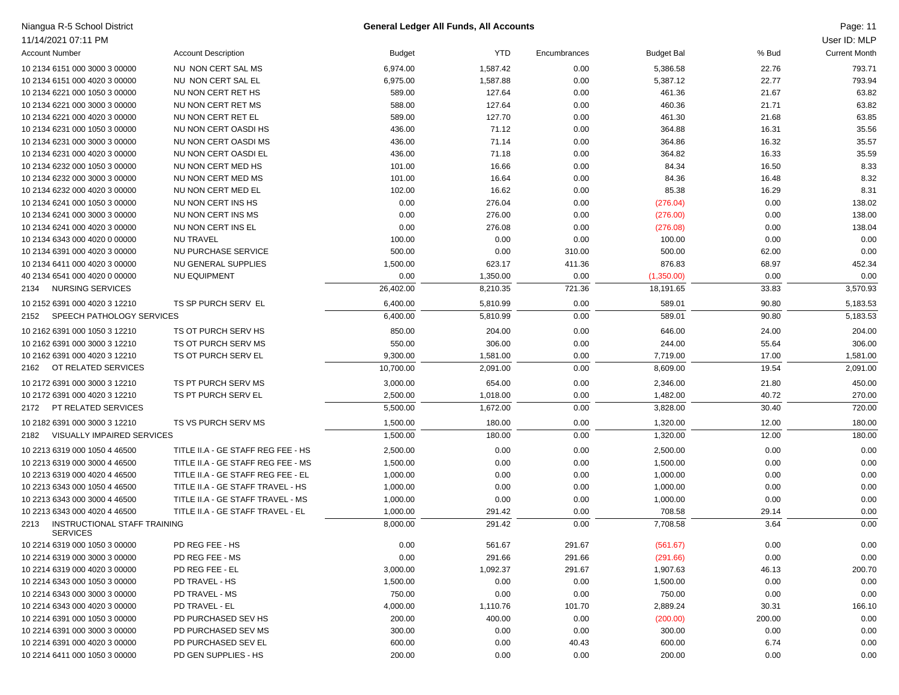| Niangua R-5 School District                             |                                    |               | <b>General Ledger All Funds, All Accounts</b> |              |                   |        | Page: 11             |
|---------------------------------------------------------|------------------------------------|---------------|-----------------------------------------------|--------------|-------------------|--------|----------------------|
| 11/14/2021 07:11 PM                                     |                                    |               |                                               |              |                   |        | User ID: MLP         |
| <b>Account Number</b>                                   | <b>Account Description</b>         | <b>Budget</b> | <b>YTD</b>                                    | Encumbrances | <b>Budget Bal</b> | % Bud  | <b>Current Month</b> |
| 10 2134 6151 000 3000 3 00000                           | NU NON CERT SAL MS                 | 6,974.00      | 1,587.42                                      | 0.00         | 5,386.58          | 22.76  | 793.71               |
| 10 2134 6151 000 4020 3 00000                           | NU NON CERT SAL EL                 | 6,975.00      | 1,587.88                                      | 0.00         | 5,387.12          | 22.77  | 793.94               |
| 10 2134 6221 000 1050 3 00000                           | NU NON CERT RET HS                 | 589.00        | 127.64                                        | 0.00         | 461.36            | 21.67  | 63.82                |
| 10 2134 6221 000 3000 3 00000                           | NU NON CERT RET MS                 | 588.00        | 127.64                                        | 0.00         | 460.36            | 21.71  | 63.82                |
| 10 2134 6221 000 4020 3 00000                           | NU NON CERT RET EL                 | 589.00        | 127.70                                        | 0.00         | 461.30            | 21.68  | 63.85                |
| 10 2134 6231 000 1050 3 00000                           | NU NON CERT OASDI HS               | 436.00        | 71.12                                         | 0.00         | 364.88            | 16.31  | 35.56                |
| 10 2134 6231 000 3000 3 00000                           | NU NON CERT OASDI MS               | 436.00        | 71.14                                         | 0.00         | 364.86            | 16.32  | 35.57                |
| 10 2134 6231 000 4020 3 00000                           | NU NON CERT OASDI EL               | 436.00        | 71.18                                         | 0.00         | 364.82            | 16.33  | 35.59                |
| 10 2134 6232 000 1050 3 00000                           | NU NON CERT MED HS                 | 101.00        | 16.66                                         | 0.00         | 84.34             | 16.50  | 8.33                 |
| 10 2134 6232 000 3000 3 00000                           | NU NON CERT MED MS                 | 101.00        | 16.64                                         | 0.00         | 84.36             | 16.48  | 8.32                 |
| 10 2134 6232 000 4020 3 00000                           | NU NON CERT MED EL                 | 102.00        | 16.62                                         | 0.00         | 85.38             | 16.29  | 8.31                 |
| 10 2134 6241 000 1050 3 00000                           | NU NON CERT INS HS                 | 0.00          | 276.04                                        | 0.00         | (276.04)          | 0.00   | 138.02               |
| 10 2134 6241 000 3000 3 00000                           | NU NON CERT INS MS                 | 0.00          | 276.00                                        | 0.00         | (276.00)          | 0.00   | 138.00               |
| 10 2134 6241 000 4020 3 00000                           | NU NON CERT INS EL                 | 0.00          | 276.08                                        | 0.00         | (276.08)          | 0.00   | 138.04               |
| 10 2134 6343 000 4020 0 00000                           | <b>NU TRAVEL</b>                   | 100.00        | 0.00                                          | 0.00         | 100.00            | 0.00   | 0.00                 |
| 10 2134 6391 000 4020 3 00000                           | NU PURCHASE SERVICE                | 500.00        | 0.00                                          | 310.00       | 500.00            | 62.00  | 0.00                 |
| 10 2134 6411 000 4020 3 00000                           | NU GENERAL SUPPLIES                | 1,500.00      | 623.17                                        | 411.36       | 876.83            | 68.97  | 452.34               |
| 40 2134 6541 000 4020 0 00000                           | <b>NU EQUIPMENT</b>                | 0.00          | 1,350.00                                      | 0.00         | (1,350.00)        | 0.00   | 0.00                 |
| <b>NURSING SERVICES</b><br>2134                         |                                    | 26,402.00     | 8,210.35                                      | 721.36       | 18,191.65         | 33.83  | 3,570.93             |
| 10 2152 6391 000 4020 3 12210                           | TS SP PURCH SERV EL                | 6,400.00      | 5,810.99                                      | 0.00         | 589.01            | 90.80  | 5,183.53             |
| SPEECH PATHOLOGY SERVICES<br>2152                       |                                    | 6,400.00      | 5,810.99                                      | 0.00         | 589.01            | 90.80  | 5,183.53             |
| 10 2162 6391 000 1050 3 12210                           | TS OT PURCH SERV HS                | 850.00        | 204.00                                        | 0.00         | 646.00            | 24.00  | 204.00               |
| 10 2162 6391 000 3000 3 12210                           | TS OT PURCH SERV MS                | 550.00        | 306.00                                        | 0.00         | 244.00            | 55.64  | 306.00               |
| 10 2162 6391 000 4020 3 12210                           | TS OT PURCH SERV EL                | 9,300.00      | 1,581.00                                      | 0.00         | 7,719.00          | 17.00  | 1,581.00             |
| OT RELATED SERVICES<br>2162                             |                                    | 10,700.00     | 2,091.00                                      | 0.00         | 8,609.00          | 19.54  | 2,091.00             |
| 10 2172 6391 000 3000 3 12210                           | TS PT PURCH SERV MS                | 3,000.00      | 654.00                                        | 0.00         | 2,346.00          | 21.80  | 450.00               |
| 10 2172 6391 000 4020 3 12210                           | TS PT PURCH SERV EL                | 2,500.00      | 1,018.00                                      | 0.00         | 1,482.00          | 40.72  | 270.00               |
| PT RELATED SERVICES<br>2172                             |                                    | 5,500.00      | 1,672.00                                      | 0.00         | 3,828.00          | 30.40  | 720.00               |
| 10 2182 6391 000 3000 3 12210                           | TS VS PURCH SERV MS                | 1,500.00      | 180.00                                        | 0.00         | 1,320.00          | 12.00  | 180.00               |
| VISUALLY IMPAIRED SERVICES<br>2182                      |                                    | 1,500.00      | 180.00                                        | 0.00         | 1,320.00          | 12.00  | 180.00               |
| 10 2213 6319 000 1050 4 46500                           | TITLE II.A - GE STAFF REG FEE - HS | 2,500.00      | 0.00                                          | 0.00         | 2,500.00          | 0.00   | 0.00                 |
| 10 2213 6319 000 3000 4 46500                           | TITLE II.A - GE STAFF REG FEE - MS | 1,500.00      | 0.00                                          | 0.00         | 1,500.00          | 0.00   | 0.00                 |
| 10 2213 6319 000 4020 4 46500                           | TITLE II.A - GE STAFF REG FEE - EL | 1,000.00      | 0.00                                          | 0.00         | 1,000.00          | 0.00   | 0.00                 |
| 10 2213 6343 000 1050 4 46500                           | TITLE II.A - GE STAFF TRAVEL - HS  | 1,000.00      | 0.00                                          | 0.00         | 1,000.00          | 0.00   | 0.00                 |
| 10 2213 6343 000 3000 4 46500                           | TITLE II.A - GE STAFF TRAVEL - MS  | 1,000.00      | 0.00                                          | 0.00         | 1,000.00          | 0.00   | 0.00                 |
| 10 2213 6343 000 4020 4 46500                           | TITLE II.A - GE STAFF TRAVEL - EL  | 1,000.00      | 291.42                                        | 0.00         | 708.58            | 29.14  | 0.00                 |
| INSTRUCTIONAL STAFF TRAINING<br>2213<br><b>SERVICES</b> |                                    | 8,000.00      | 291.42                                        | 0.00         | 7,708.58          | 3.64   | 0.00                 |
| 10 2214 6319 000 1050 3 00000                           | PD REG FEE - HS                    | 0.00          | 561.67                                        | 291.67       | (561.67)          | 0.00   | 0.00                 |
| 10 2214 6319 000 3000 3 00000                           | PD REG FEE - MS                    | 0.00          | 291.66                                        | 291.66       | (291.66)          | 0.00   | 0.00                 |
| 10 2214 6319 000 4020 3 00000                           | PD REG FEE - EL                    | 3,000.00      | 1,092.37                                      | 291.67       | 1,907.63          | 46.13  | 200.70               |
| 10 2214 6343 000 1050 3 00000                           | PD TRAVEL - HS                     | 1,500.00      | 0.00                                          | 0.00         | 1,500.00          | 0.00   | 0.00                 |
| 10 2214 6343 000 3000 3 00000                           | PD TRAVEL - MS                     | 750.00        | 0.00                                          | 0.00         | 750.00            | 0.00   | 0.00                 |
| 10 2214 6343 000 4020 3 00000                           | PD TRAVEL - EL                     | 4,000.00      | 1,110.76                                      | 101.70       | 2,889.24          | 30.31  | 166.10               |
| 10 2214 6391 000 1050 3 00000                           | PD PURCHASED SEV HS                | 200.00        | 400.00                                        | 0.00         | (200.00)          | 200.00 | 0.00                 |
| 10 2214 6391 000 3000 3 00000                           | PD PURCHASED SEV MS                | 300.00        | 0.00                                          | 0.00         | 300.00            | 0.00   | 0.00                 |
| 10 2214 6391 000 4020 3 00000                           | PD PURCHASED SEV EL                | 600.00        | 0.00                                          | 40.43        | 600.00            | 6.74   | 0.00                 |
| 10 2214 6411 000 1050 3 00000                           | PD GEN SUPPLIES - HS               | 200.00        | 0.00                                          | 0.00         | 200.00            | 0.00   | 0.00                 |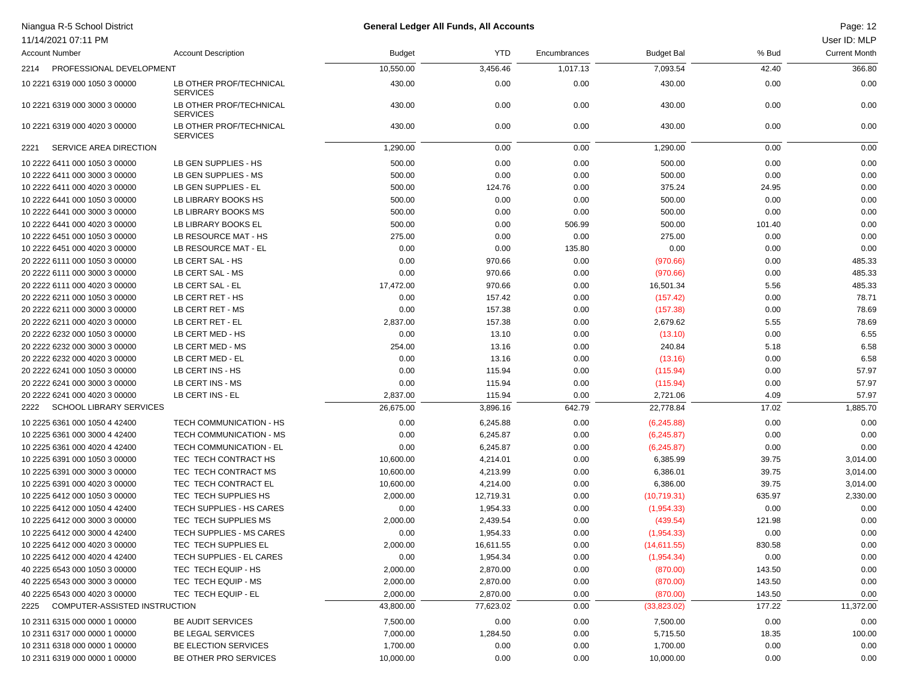| Niangua R-5 School District           |                                            | <b>General Ledger All Funds, All Accounts</b> |            |              |                   |        | Page: 12             |
|---------------------------------------|--------------------------------------------|-----------------------------------------------|------------|--------------|-------------------|--------|----------------------|
| 11/14/2021 07:11 PM                   |                                            |                                               |            |              |                   |        | User ID: MLP         |
| <b>Account Number</b>                 | <b>Account Description</b>                 | <b>Budget</b>                                 | <b>YTD</b> | Encumbrances | <b>Budget Bal</b> | % Bud  | <b>Current Month</b> |
| PROFESSIONAL DEVELOPMENT<br>2214      |                                            | 10,550.00                                     | 3,456.46   | 1,017.13     | 7,093.54          | 42.40  | 366.80               |
| 10 2221 6319 000 1050 3 00000         | LB OTHER PROF/TECHNICAL<br><b>SERVICES</b> | 430.00                                        | 0.00       | 0.00         | 430.00            | 0.00   | 0.00                 |
| 10 2221 6319 000 3000 3 00000         | LB OTHER PROF/TECHNICAL<br><b>SERVICES</b> | 430.00                                        | 0.00       | 0.00         | 430.00            | 0.00   | 0.00                 |
| 10 2221 6319 000 4020 3 00000         | LB OTHER PROF/TECHNICAL<br><b>SERVICES</b> | 430.00                                        | 0.00       | 0.00         | 430.00            | 0.00   | 0.00                 |
| SERVICE AREA DIRECTION<br>2221        |                                            | 1,290.00                                      | 0.00       | 0.00         | 1,290.00          | 0.00   | 0.00                 |
| 10 2222 6411 000 1050 3 00000         | LB GEN SUPPLIES - HS                       | 500.00                                        | 0.00       | 0.00         | 500.00            | 0.00   | 0.00                 |
| 10 2222 6411 000 3000 3 00000         | LB GEN SUPPLIES - MS                       | 500.00                                        | 0.00       | 0.00         | 500.00            | 0.00   | 0.00                 |
| 10 2222 6411 000 4020 3 00000         | LB GEN SUPPLIES - EL                       | 500.00                                        | 124.76     | 0.00         | 375.24            | 24.95  | 0.00                 |
| 10 2222 6441 000 1050 3 00000         | LB LIBRARY BOOKS HS                        | 500.00                                        | 0.00       | 0.00         | 500.00            | 0.00   | 0.00                 |
| 10 2222 6441 000 3000 3 00000         | LB LIBRARY BOOKS MS                        | 500.00                                        | 0.00       | 0.00         | 500.00            | 0.00   | 0.00                 |
| 10 2222 6441 000 4020 3 00000         | LB LIBRARY BOOKS EL                        | 500.00                                        | 0.00       | 506.99       | 500.00            | 101.40 | 0.00                 |
| 10 2222 6451 000 1050 3 00000         | LB RESOURCE MAT - HS                       | 275.00                                        | 0.00       | 0.00         | 275.00            | 0.00   | 0.00                 |
| 10 2222 6451 000 4020 3 00000         | LB RESOURCE MAT - EL                       | 0.00                                          | 0.00       | 135.80       | 0.00              | 0.00   | 0.00                 |
| 20 2222 6111 000 1050 3 00000         | LB CERT SAL - HS                           | 0.00                                          | 970.66     | 0.00         | (970.66)          | 0.00   | 485.33               |
| 20 2222 6111 000 3000 3 00000         | LB CERT SAL - MS                           | 0.00                                          | 970.66     | 0.00         | (970.66)          | 0.00   | 485.33               |
| 20 2222 6111 000 4020 3 00000         | LB CERT SAL - EL                           | 17,472.00                                     | 970.66     | 0.00         | 16,501.34         | 5.56   | 485.33               |
| 20 2222 6211 000 1050 3 00000         | LB CERT RET - HS                           | 0.00                                          | 157.42     | 0.00         | (157.42)          | 0.00   | 78.71                |
| 20 2222 6211 000 3000 3 00000         | LB CERT RET - MS                           | 0.00                                          | 157.38     | 0.00         | (157.38)          | 0.00   | 78.69                |
| 20 2222 6211 000 4020 3 00000         | LB CERT RET - EL                           | 2,837.00                                      | 157.38     | 0.00         | 2,679.62          | 5.55   | 78.69                |
| 20 2222 6232 000 1050 3 00000         | LB CERT MED - HS                           | 0.00                                          | 13.10      | 0.00         | (13.10)           | 0.00   | 6.55                 |
| 20 2222 6232 000 3000 3 00000         | LB CERT MED - MS                           | 254.00                                        | 13.16      | 0.00         | 240.84            | 5.18   | 6.58                 |
| 20 2222 6232 000 4020 3 00000         | LB CERT MED - EL                           | 0.00                                          | 13.16      | 0.00         | (13.16)           | 0.00   | 6.58                 |
| 20 2222 6241 000 1050 3 00000         | LB CERT INS - HS                           | 0.00                                          | 115.94     | 0.00         | (115.94)          | 0.00   | 57.97                |
| 20 2222 6241 000 3000 3 00000         | LB CERT INS - MS                           | 0.00                                          | 115.94     | 0.00         | (115.94)          | 0.00   | 57.97                |
| 20 2222 6241 000 4020 3 00000         | LB CERT INS - EL                           | 2,837.00                                      | 115.94     | 0.00         | 2,721.06          | 4.09   | 57.97                |
| SCHOOL LIBRARY SERVICES<br>2222       |                                            | 26,675.00                                     | 3,896.16   | 642.79       | 22,778.84         | 17.02  | 1,885.70             |
| 10 2225 6361 000 1050 4 42400         | TECH COMMUNICATION - HS                    | 0.00                                          | 6,245.88   | 0.00         | (6,245.88)        | 0.00   | 0.00                 |
| 10 2225 6361 000 3000 4 42400         | TECH COMMUNICATION - MS                    | 0.00                                          | 6,245.87   | 0.00         | (6,245.87)        | 0.00   | 0.00                 |
| 10 2225 6361 000 4020 4 42400         | TECH COMMUNICATION - EL                    | 0.00                                          | 6,245.87   | 0.00         | (6,245.87)        | 0.00   | 0.00                 |
| 10 2225 6391 000 1050 3 00000         | TEC TECH CONTRACT HS                       | 10,600.00                                     | 4,214.01   | 0.00         | 6,385.99          | 39.75  | 3,014.00             |
| 10 2225 6391 000 3000 3 00000         | TEC TECH CONTRACT MS                       | 10,600.00                                     | 4,213.99   | 0.00         | 6,386.01          | 39.75  | 3,014.00             |
| 10 2225 6391 000 4020 3 00000         | TEC TECH CONTRACT EL                       | 10,600.00                                     | 4,214.00   | 0.00         | 6,386.00          | 39.75  | 3,014.00             |
| 10 2225 6412 000 1050 3 00000         | TEC TECH SUPPLIES HS                       | 2,000.00                                      | 12,719.31  | 0.00         | (10,719.31)       | 635.97 | 2,330.00             |
| 10 2225 6412 000 1050 4 42400         | <b>TECH SUPPLIES - HS CARES</b>            | 0.00                                          | 1,954.33   | 0.00         | (1,954.33)        | 0.00   | 0.00                 |
| 10 2225 6412 000 3000 3 00000         | TEC TECH SUPPLIES MS                       | 2,000.00                                      | 2,439.54   | 0.00         | (439.54)          | 121.98 | 0.00                 |
| 10 2225 6412 000 3000 4 42400         | TECH SUPPLIES - MS CARES                   | 0.00                                          | 1,954.33   | 0.00         | (1,954.33)        | 0.00   | 0.00                 |
| 10 2225 6412 000 4020 3 00000         | TEC TECH SUPPLIES EL                       | 2,000.00                                      | 16,611.55  | 0.00         | (14,611.55)       | 830.58 | 0.00                 |
| 10 2225 6412 000 4020 4 42400         | TECH SUPPLIES - EL CARES                   | 0.00                                          | 1,954.34   | 0.00         | (1,954.34)        | 0.00   | 0.00                 |
| 40 2225 6543 000 1050 3 00000         | TEC TECH EQUIP - HS                        | 2,000.00                                      | 2,870.00   | 0.00         | (870.00)          | 143.50 | 0.00                 |
| 40 2225 6543 000 3000 3 00000         | TEC TECH EQUIP - MS                        | 2,000.00                                      | 2,870.00   | 0.00         | (870.00)          | 143.50 | 0.00                 |
| 40 2225 6543 000 4020 3 00000         | TEC TECH EQUIP - EL                        | 2,000.00                                      | 2,870.00   | 0.00         | (870.00)          | 143.50 | 0.00                 |
| COMPUTER-ASSISTED INSTRUCTION<br>2225 |                                            | 43,800.00                                     | 77,623.02  | 0.00         | (33,823.02)       | 177.22 | 11,372.00            |
| 10 2311 6315 000 0000 1 00000         | BE AUDIT SERVICES                          | 7,500.00                                      | 0.00       | 0.00         | 7,500.00          | 0.00   | 0.00                 |
| 10 2311 6317 000 0000 1 00000         | BE LEGAL SERVICES                          | 7,000.00                                      | 1,284.50   | 0.00         | 5,715.50          | 18.35  | 100.00               |
| 10 2311 6318 000 0000 1 00000         | BE ELECTION SERVICES                       | 1,700.00                                      | 0.00       | 0.00         | 1,700.00          | 0.00   | 0.00                 |
| 10 2311 6319 000 0000 1 00000         | BE OTHER PRO SERVICES                      | 10,000.00                                     | 0.00       | 0.00         | 10,000.00         | 0.00   | 0.00                 |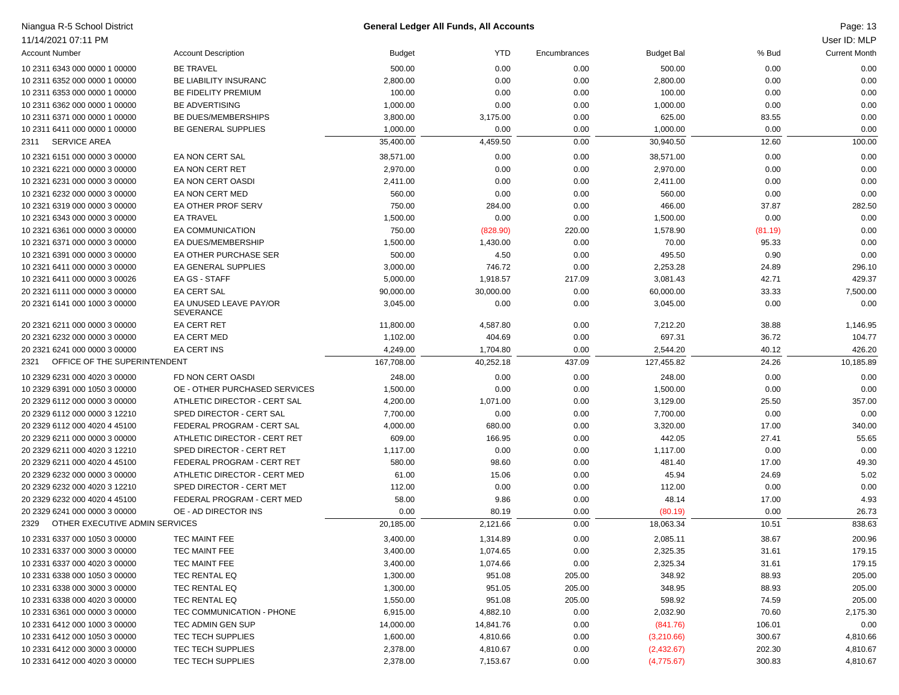| Niangua R-5 School District            |                                            |               | General Ledger All Funds, All Accounts |              |                   |         | Page: 13             |
|----------------------------------------|--------------------------------------------|---------------|----------------------------------------|--------------|-------------------|---------|----------------------|
| 11/14/2021 07:11 PM                    |                                            |               |                                        |              |                   |         | User ID: MLP         |
| <b>Account Number</b>                  | <b>Account Description</b>                 | <b>Budget</b> | <b>YTD</b>                             | Encumbrances | <b>Budget Bal</b> | % Bud   | <b>Current Month</b> |
| 10 2311 6343 000 0000 1 00000          | <b>BE TRAVEL</b>                           | 500.00        | 0.00                                   | 0.00         | 500.00            | 0.00    | 0.00                 |
| 10 2311 6352 000 0000 1 00000          | BE LIABILITY INSURANC                      | 2,800.00      | 0.00                                   | 0.00         | 2,800.00          | 0.00    | 0.00                 |
| 10 2311 6353 000 0000 1 00000          | <b>BE FIDELITY PREMIUM</b>                 | 100.00        | 0.00                                   | 0.00         | 100.00            | 0.00    | 0.00                 |
| 10 2311 6362 000 0000 1 00000          | <b>BE ADVERTISING</b>                      | 1,000.00      | 0.00                                   | 0.00         | 1,000.00          | 0.00    | 0.00                 |
| 10 2311 6371 000 0000 1 00000          | BE DUES/MEMBERSHIPS                        | 3,800.00      | 3,175.00                               | 0.00         | 625.00            | 83.55   | 0.00                 |
| 10 2311 6411 000 0000 1 00000          | BE GENERAL SUPPLIES                        | 1,000.00      | 0.00                                   | 0.00         | 1,000.00          | 0.00    | 0.00                 |
| <b>SERVICE AREA</b><br>2311            |                                            | 35,400.00     | 4,459.50                               | 0.00         | 30,940.50         | 12.60   | 100.00               |
| 10 2321 6151 000 0000 3 00000          | EA NON CERT SAL                            | 38,571.00     | 0.00                                   | 0.00         | 38,571.00         | 0.00    | 0.00                 |
| 10 2321 6221 000 0000 3 00000          | EA NON CERT RET                            | 2,970.00      | 0.00                                   | 0.00         | 2,970.00          | 0.00    | 0.00                 |
| 10 2321 6231 000 0000 3 00000          | EA NON CERT OASDI                          | 2,411.00      | 0.00                                   | 0.00         | 2,411.00          | 0.00    | 0.00                 |
| 10 2321 6232 000 0000 3 00000          | EA NON CERT MED                            | 560.00        | 0.00                                   | 0.00         | 560.00            | 0.00    | 0.00                 |
| 10 2321 6319 000 0000 3 00000          | EA OTHER PROF SERV                         | 750.00        | 284.00                                 | 0.00         | 466.00            | 37.87   | 282.50               |
| 10 2321 6343 000 0000 3 00000          | <b>EA TRAVEL</b>                           | 1,500.00      | 0.00                                   | 0.00         | 1,500.00          | 0.00    | 0.00                 |
| 10 2321 6361 000 0000 3 00000          | EA COMMUNICATION                           | 750.00        | (828.90)                               | 220.00       | 1,578.90          | (81.19) | 0.00                 |
| 10 2321 6371 000 0000 3 00000          | EA DUES/MEMBERSHIP                         | 1,500.00      | 1,430.00                               | 0.00         | 70.00             | 95.33   | 0.00                 |
| 10 2321 6391 000 0000 3 00000          | EA OTHER PURCHASE SER                      | 500.00        | 4.50                                   | 0.00         | 495.50            | 0.90    | 0.00                 |
| 10 2321 6411 000 0000 3 00000          | EA GENERAL SUPPLIES                        | 3,000.00      | 746.72                                 | 0.00         | 2,253.28          | 24.89   | 296.10               |
| 10 2321 6411 000 0000 3 00026          | EA GS - STAFF                              | 5,000.00      | 1,918.57                               | 217.09       | 3,081.43          | 42.71   | 429.37               |
| 20 2321 6111 000 0000 3 00000          | <b>EA CERT SAL</b>                         | 90,000.00     | 30,000.00                              | 0.00         | 60,000.00         | 33.33   | 7,500.00             |
| 20 2321 6141 000 1000 3 00000          | EA UNUSED LEAVE PAY/OR<br><b>SEVERANCE</b> | 3,045.00      | 0.00                                   | 0.00         | 3,045.00          | 0.00    | 0.00                 |
| 20 2321 6211 000 0000 3 00000          | <b>EA CERT RET</b>                         | 11,800.00     | 4,587.80                               | 0.00         | 7,212.20          | 38.88   | 1,146.95             |
| 20 2321 6232 000 0000 3 00000          | EA CERT MED                                | 1,102.00      | 404.69                                 | 0.00         | 697.31            | 36.72   | 104.77               |
| 20 2321 6241 000 0000 3 00000          | EA CERT INS                                | 4,249.00      | 1,704.80                               | 0.00         | 2,544.20          | 40.12   | 426.20               |
| OFFICE OF THE SUPERINTENDENT<br>2321   |                                            | 167,708.00    | 40,252.18                              | 437.09       | 127,455.82        | 24.26   | 10,185.89            |
| 10 2329 6231 000 4020 3 00000          | FD NON CERT OASDI                          | 248.00        | 0.00                                   | 0.00         | 248.00            | 0.00    | 0.00                 |
| 10 2329 6391 000 1050 3 00000          | OE - OTHER PURCHASED SERVICES              | 1,500.00      | 0.00                                   | 0.00         | 1,500.00          | 0.00    | 0.00                 |
| 20 2329 6112 000 0000 3 00000          | ATHLETIC DIRECTOR - CERT SAL               | 4,200.00      | 1,071.00                               | 0.00         | 3,129.00          | 25.50   | 357.00               |
| 20 2329 6112 000 0000 3 12210          | SPED DIRECTOR - CERT SAL                   | 7,700.00      | 0.00                                   | 0.00         | 7,700.00          | 0.00    | 0.00                 |
| 20 2329 6112 000 4020 4 45100          | FEDERAL PROGRAM - CERT SAL                 | 4,000.00      | 680.00                                 | 0.00         | 3,320.00          | 17.00   | 340.00               |
| 20 2329 6211 000 0000 3 00000          | ATHLETIC DIRECTOR - CERT RET               | 609.00        | 166.95                                 | 0.00         | 442.05            | 27.41   | 55.65                |
| 20 2329 6211 000 4020 3 12210          | SPED DIRECTOR - CERT RET                   | 1,117.00      | 0.00                                   | 0.00         | 1,117.00          | 0.00    | 0.00                 |
| 20 2329 6211 000 4020 4 45100          | FEDERAL PROGRAM - CERT RET                 | 580.00        | 98.60                                  | 0.00         | 481.40            | 17.00   | 49.30                |
| 20 2329 6232 000 0000 3 00000          | ATHLETIC DIRECTOR - CERT MED               | 61.00         | 15.06                                  | 0.00         | 45.94             | 24.69   | 5.02                 |
| 20 2329 6232 000 4020 3 12210          | SPED DIRECTOR - CERT MET                   | 112.00        | 0.00                                   | 0.00         | 112.00            | 0.00    | 0.00                 |
| 20 2329 6232 000 4020 4 45100          | FEDERAL PROGRAM - CERT MED                 | 58.00         | 9.86                                   | 0.00         | 48.14             | 17.00   | 4.93                 |
| 20 2329 6241 000 0000 3 00000          | OE - AD DIRECTOR INS                       | 0.00          | 80.19                                  | 0.00         | (80.19)           | 0.00    | 26.73                |
| OTHER EXECUTIVE ADMIN SERVICES<br>2329 |                                            | 20,185.00     | 2,121.66                               | 0.00         | 18,063.34         | 10.51   | 838.63               |
| 10 2331 6337 000 1050 3 00000          | TEC MAINT FEE                              | 3,400.00      | 1,314.89                               | 0.00         | 2,085.11          | 38.67   | 200.96               |
| 10 2331 6337 000 3000 3 00000          | TEC MAINT FEE                              | 3,400.00      | 1,074.65                               | 0.00         | 2,325.35          | 31.61   | 179.15               |
| 10 2331 6337 000 4020 3 00000          | TEC MAINT FEE                              | 3,400.00      | 1,074.66                               | 0.00         | 2,325.34          | 31.61   | 179.15               |
| 10 2331 6338 000 1050 3 00000          | TEC RENTAL EQ                              | 1,300.00      | 951.08                                 | 205.00       | 348.92            | 88.93   | 205.00               |
| 10 2331 6338 000 3000 3 00000          | TEC RENTAL EQ                              | 1,300.00      | 951.05                                 | 205.00       | 348.95            | 88.93   | 205.00               |
| 10 2331 6338 000 4020 3 00000          | TEC RENTAL EQ                              | 1,550.00      | 951.08                                 | 205.00       | 598.92            | 74.59   | 205.00               |
| 10 2331 6361 000 0000 3 00000          | TEC COMMUNICATION - PHONE                  | 6,915.00      | 4,882.10                               | 0.00         | 2,032.90          | 70.60   | 2,175.30             |
| 10 2331 6412 000 1000 3 00000          | TEC ADMIN GEN SUP                          | 14,000.00     | 14,841.76                              | 0.00         | (841.76)          | 106.01  | 0.00                 |
| 10 2331 6412 000 1050 3 00000          | TEC TECH SUPPLIES                          | 1,600.00      | 4,810.66                               | 0.00         | (3,210.66)        | 300.67  | 4,810.66             |
| 10 2331 6412 000 3000 3 00000          | TEC TECH SUPPLIES                          | 2,378.00      | 4,810.67                               | 0.00         | (2,432.67)        | 202.30  | 4,810.67             |
| 10 2331 6412 000 4020 3 00000          | TEC TECH SUPPLIES                          | 2,378.00      | 7,153.67                               | 0.00         | (4,775.67)        | 300.83  | 4,810.67             |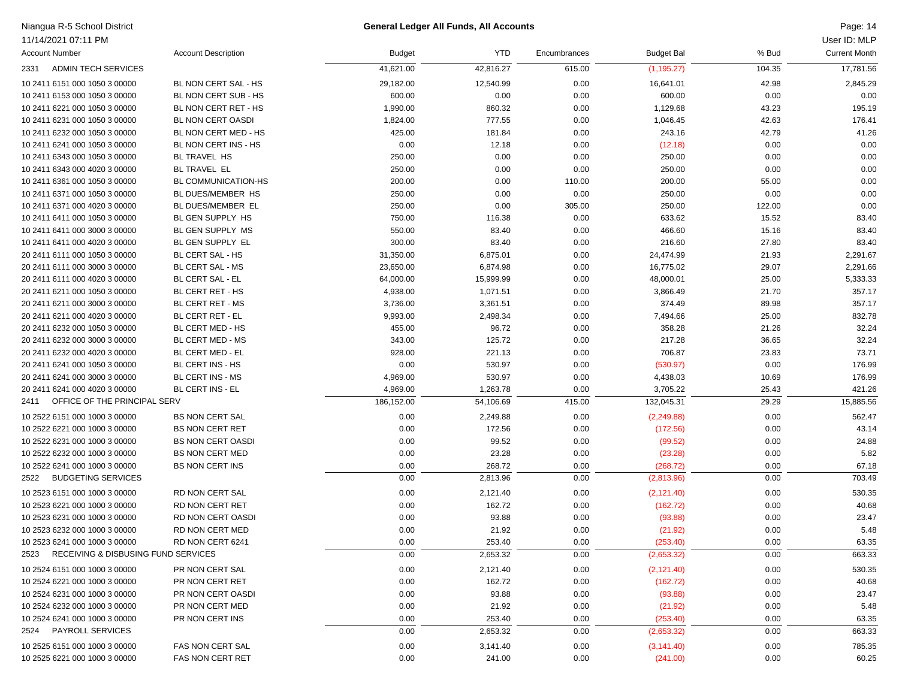## Niangua R-5 School District Page: 14 **General Ledger All Funds, All Accounts**

| 11/14/2021 07:11 PM                         |                            |               |            |              |                   |        | User ID: MLP         |
|---------------------------------------------|----------------------------|---------------|------------|--------------|-------------------|--------|----------------------|
| <b>Account Number</b>                       | <b>Account Description</b> | <b>Budget</b> | <b>YTD</b> | Encumbrances | <b>Budget Bal</b> | % Bud  | <b>Current Month</b> |
| <b>ADMIN TECH SERVICES</b><br>2331          |                            | 41,621.00     | 42,816.27  | 615.00       | (1, 195.27)       | 104.35 | 17,781.56            |
| 10 2411 6151 000 1050 3 00000               | BL NON CERT SAL - HS       | 29,182.00     | 12,540.99  | 0.00         | 16,641.01         | 42.98  | 2,845.29             |
| 10 2411 6153 000 1050 3 00000               | BL NON CERT SUB - HS       | 600.00        | 0.00       | 0.00         | 600.00            | 0.00   | 0.00                 |
| 10 2411 6221 000 1050 3 00000               | BL NON CERT RET - HS       | 1,990.00      | 860.32     | 0.00         | 1,129.68          | 43.23  | 195.19               |
| 10 2411 6231 000 1050 3 00000               | BL NON CERT OASDI          | 1,824.00      | 777.55     | 0.00         | 1,046.45          | 42.63  | 176.41               |
| 10 2411 6232 000 1050 3 00000               | BL NON CERT MED - HS       | 425.00        | 181.84     | 0.00         | 243.16            | 42.79  | 41.26                |
| 10 2411 6241 000 1050 3 00000               | BL NON CERT INS - HS       | 0.00          | 12.18      | 0.00         | (12.18)           | 0.00   | 0.00                 |
| 10 2411 6343 000 1050 3 00000               | BL TRAVEL HS               | 250.00        | 0.00       | 0.00         | 250.00            | 0.00   | 0.00                 |
| 10 2411 6343 000 4020 3 00000               | <b>BL TRAVEL EL</b>        | 250.00        | 0.00       | 0.00         | 250.00            | 0.00   | 0.00                 |
| 10 2411 6361 000 1050 3 00000               | <b>BL COMMUNICATION-HS</b> | 200.00        | 0.00       | 110.00       | 200.00            | 55.00  | 0.00                 |
| 10 2411 6371 000 1050 3 00000               | BL DUES/MEMBER HS          | 250.00        | 0.00       | 0.00         | 250.00            | 0.00   | 0.00                 |
| 10 2411 6371 000 4020 3 00000               | BL DUES/MEMBER EL          | 250.00        | 0.00       | 305.00       | 250.00            | 122.00 | 0.00                 |
| 10 2411 6411 000 1050 3 00000               | BL GEN SUPPLY HS           | 750.00        | 116.38     | 0.00         | 633.62            | 15.52  | 83.40                |
| 10 2411 6411 000 3000 3 00000               | BL GEN SUPPLY MS           | 550.00        | 83.40      | 0.00         | 466.60            | 15.16  | 83.40                |
| 10 2411 6411 000 4020 3 00000               | BL GEN SUPPLY EL           | 300.00        | 83.40      | 0.00         | 216.60            | 27.80  | 83.40                |
| 20 2411 6111 000 1050 3 00000               | BL CERT SAL - HS           | 31,350.00     | 6,875.01   | 0.00         | 24,474.99         | 21.93  | 2,291.67             |
| 20 2411 6111 000 3000 3 00000               | BL CERT SAL - MS           | 23,650.00     | 6,874.98   | 0.00         | 16,775.02         | 29.07  | 2,291.66             |
| 20 2411 6111 000 4020 3 00000               | BL CERT SAL - EL           | 64,000.00     | 15,999.99  | 0.00         | 48,000.01         | 25.00  | 5,333.33             |
| 20 2411 6211 000 1050 3 00000               | BL CERT RET - HS           | 4,938.00      | 1,071.51   | 0.00         | 3,866.49          | 21.70  | 357.17               |
| 20 2411 6211 000 3000 3 00000               | BL CERT RET - MS           | 3,736.00      | 3,361.51   | 0.00         | 374.49            | 89.98  | 357.17               |
| 20 2411 6211 000 4020 3 00000               | BL CERT RET - EL           | 9,993.00      | 2,498.34   | 0.00         | 7,494.66          | 25.00  | 832.78               |
| 20 2411 6232 000 1050 3 00000               | BL CERT MED - HS           | 455.00        | 96.72      | 0.00         | 358.28            | 21.26  | 32.24                |
| 20 2411 6232 000 3000 3 00000               | BL CERT MED - MS           | 343.00        | 125.72     | 0.00         | 217.28            | 36.65  | 32.24                |
| 20 2411 6232 000 4020 3 00000               | BL CERT MED - EL           | 928.00        | 221.13     | 0.00         | 706.87            | 23.83  | 73.71                |
| 20 2411 6241 000 1050 3 00000               | BL CERT INS - HS           | 0.00          | 530.97     | 0.00         | (530.97)          | 0.00   | 176.99               |
| 20 2411 6241 000 3000 3 00000               | BL CERT INS - MS           | 4,969.00      | 530.97     | 0.00         | 4,438.03          | 10.69  | 176.99               |
| 20 2411 6241 000 4020 3 00000               | <b>BL CERT INS - EL</b>    | 4,969.00      | 1,263.78   | 0.00         | 3,705.22          | 25.43  | 421.26               |
| OFFICE OF THE PRINCIPAL SERV<br>2411        |                            | 186,152.00    | 54,106.69  | 415.00       | 132,045.31        | 29.29  | 15,885.56            |
| 10 2522 6151 000 1000 3 00000               | <b>BS NON CERT SAL</b>     | 0.00          | 2,249.88   | 0.00         | (2,249.88)        | 0.00   | 562.47               |
| 10 2522 6221 000 1000 3 00000               | <b>BS NON CERT RET</b>     | 0.00          | 172.56     | 0.00         | (172.56)          | 0.00   | 43.14                |
| 10 2522 6231 000 1000 3 00000               | <b>BS NON CERT OASDI</b>   | 0.00          | 99.52      | 0.00         | (99.52)           | 0.00   | 24.88                |
| 10 2522 6232 000 1000 3 00000               | <b>BS NON CERT MED</b>     | 0.00          | 23.28      | 0.00         | (23.28)           | 0.00   | 5.82                 |
| 10 2522 6241 000 1000 3 00000               | <b>BS NON CERT INS</b>     | 0.00          | 268.72     | 0.00         | (268.72)          | 0.00   | 67.18                |
| <b>BUDGETING SERVICES</b><br>2522           |                            | 0.00          | 2,813.96   | 0.00         | (2,813.96)        | 0.00   | 703.49               |
| 10 2523 6151 000 1000 3 00000               | RD NON CERT SAL            | 0.00          | 2,121.40   | 0.00         | (2, 121.40)       | 0.00   | 530.35               |
| 10 2523 6221 000 1000 3 00000               | RD NON CERT RET            | 0.00          | 162.72     | 0.00         | (162.72)          | 0.00   | 40.68                |
| 10 2523 6231 000 1000 3 00000               | RD NON CERT OASDI          | 0.00          | 93.88      | 0.00         | (93.88)           | 0.00   | 23.47                |
| 10 2523 6232 000 1000 3 00000               | RD NON CERT MED            | 0.00          | 21.92      | 0.00         | (21.92)           | 0.00   | 5.48                 |
| 10 2523 6241 000 1000 3 00000               | RD NON CERT 6241           | 0.00          | 253.40     | 0.00         | (253.40)          | 0.00   | 63.35                |
| RECEIVING & DISBUSING FUND SERVICES<br>2523 |                            | 0.00          | 2,653.32   | 0.00         | (2,653.32)        | 0.00   | 663.33               |
| 10 2524 6151 000 1000 3 00000               | PR NON CERT SAL            | 0.00          | 2,121.40   | 0.00         | (2, 121.40)       | 0.00   | 530.35               |
| 10 2524 6221 000 1000 3 00000               | PR NON CERT RET            | 0.00          | 162.72     | 0.00         | (162.72)          | 0.00   | 40.68                |
| 10 2524 6231 000 1000 3 00000               | PR NON CERT OASDI          | 0.00          | 93.88      | 0.00         | (93.88)           | 0.00   | 23.47                |
| 10 2524 6232 000 1000 3 00000               | PR NON CERT MED            | 0.00          | 21.92      | 0.00         | (21.92)           | 0.00   | 5.48                 |
| 10 2524 6241 000 1000 3 00000               | PR NON CERT INS            | 0.00          | 253.40     | 0.00         | (253.40)          | 0.00   | 63.35                |
| 2524 PAYROLL SERVICES                       |                            | 0.00          | 2,653.32   | 0.00         | (2,653.32)        | 0.00   | 663.33               |
| 10 2525 6151 000 1000 3 00000               | FAS NON CERT SAL           | 0.00          | 3,141.40   | 0.00         | (3, 141.40)       | 0.00   | 785.35               |
| 10 2525 6221 000 1000 3 00000               | FAS NON CERT RET           | 0.00          | 241.00     | 0.00         | (241.00)          | 0.00   | 60.25                |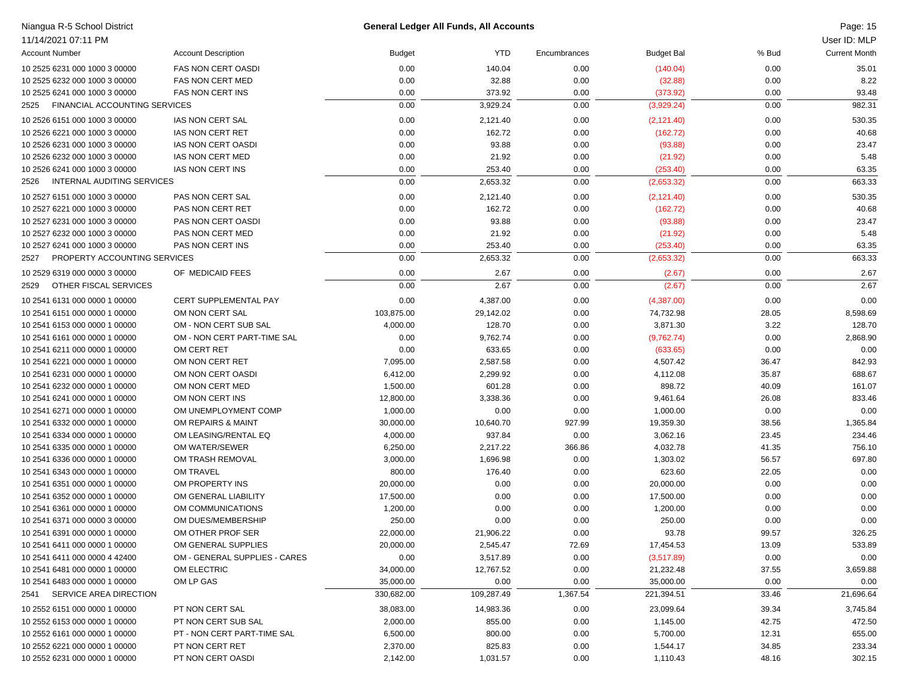| Niangua R-5 School District           |                                                      |               | <b>General Ledger All Funds, All Accounts</b> |              |                   |       | Page: 15             |
|---------------------------------------|------------------------------------------------------|---------------|-----------------------------------------------|--------------|-------------------|-------|----------------------|
| 11/14/2021 07:11 PM                   |                                                      |               |                                               |              |                   |       | User ID: MLP         |
| <b>Account Number</b>                 | <b>Account Description</b>                           | <b>Budget</b> | <b>YTD</b>                                    | Encumbrances | <b>Budget Bal</b> | % Bud | <b>Current Month</b> |
| 10 2525 6231 000 1000 3 00000         | <b>FAS NON CERT OASDI</b>                            | 0.00          | 140.04                                        | 0.00         | (140.04)          | 0.00  | 35.01                |
| 10 2525 6232 000 1000 3 00000         | <b>FAS NON CERT MED</b>                              | 0.00          | 32.88                                         | 0.00         | (32.88)           | 0.00  | 8.22                 |
| 10 2525 6241 000 1000 3 00000         | <b>FAS NON CERT INS</b>                              | 0.00          | 373.92                                        | 0.00         | (373.92)          | 0.00  | 93.48                |
| FINANCIAL ACCOUNTING SERVICES<br>2525 |                                                      | 0.00          | 3,929.24                                      | 0.00         | (3,929.24)        | 0.00  | 982.31               |
| 10 2526 6151 000 1000 3 00000         | IAS NON CERT SAL                                     | 0.00          | 2,121.40                                      | 0.00         | (2, 121.40)       | 0.00  | 530.35               |
| 10 2526 6221 000 1000 3 00000         | <b>IAS NON CERT RET</b>                              | 0.00          | 162.72                                        | 0.00         | (162.72)          | 0.00  | 40.68                |
| 10 2526 6231 000 1000 3 00000         | IAS NON CERT OASDI                                   | 0.00          | 93.88                                         | 0.00         | (93.88)           | 0.00  | 23.47                |
| 10 2526 6232 000 1000 3 00000         | IAS NON CERT MED                                     | 0.00          | 21.92                                         | 0.00         | (21.92)           | 0.00  | 5.48                 |
| 10 2526 6241 000 1000 3 00000         | IAS NON CERT INS                                     | 0.00          | 253.40                                        | 0.00         | (253.40)          | 0.00  | 63.35                |
| INTERNAL AUDITING SERVICES<br>2526    |                                                      | 0.00          | 2,653.32                                      | 0.00         | (2,653.32)        | 0.00  | 663.33               |
| 10 2527 6151 000 1000 3 00000         | PAS NON CERT SAL                                     | 0.00          | 2,121.40                                      | 0.00         | (2, 121.40)       | 0.00  | 530.35               |
| 10 2527 6221 000 1000 3 00000         | PAS NON CERT RET                                     | 0.00          | 162.72                                        | 0.00         | (162.72)          | 0.00  | 40.68                |
| 10 2527 6231 000 1000 3 00000         | PAS NON CERT OASDI                                   | 0.00          | 93.88                                         | 0.00         | (93.88)           | 0.00  | 23.47                |
| 10 2527 6232 000 1000 3 00000         | PAS NON CERT MED                                     | 0.00          | 21.92                                         | 0.00         | (21.92)           | 0.00  | 5.48                 |
| 10 2527 6241 000 1000 3 00000         | PAS NON CERT INS                                     | 0.00          | 253.40                                        | 0.00         | (253.40)          | 0.00  | 63.35                |
| PROPERTY ACCOUNTING SERVICES<br>2527  |                                                      | 0.00          | 2,653.32                                      | 0.00         | (2,653.32)        | 0.00  | 663.33               |
| 10 2529 6319 000 0000 3 00000         | OF MEDICAID FEES                                     | 0.00          | 2.67                                          | 0.00         |                   | 0.00  | 2.67                 |
| OTHER FISCAL SERVICES<br>2529         |                                                      | 0.00          | 2.67                                          | 0.00         | (2.67)<br>(2.67)  | 0.00  | 2.67                 |
|                                       |                                                      |               |                                               |              |                   |       |                      |
| 10 2541 6131 000 0000 1 00000         | <b>CERT SUPPLEMENTAL PAY</b>                         | 0.00          | 4,387.00                                      | 0.00         | (4,387.00)        | 0.00  | 0.00                 |
| 10 2541 6151 000 0000 1 00000         | OM NON CERT SAL                                      | 103,875.00    | 29,142.02                                     | 0.00         | 74,732.98         | 28.05 | 8,598.69             |
| 10 2541 6153 000 0000 1 00000         | OM - NON CERT SUB SAL                                | 4,000.00      | 128.70                                        | 0.00         | 3,871.30          | 3.22  | 128.70               |
| 10 2541 6161 000 0000 1 00000         | OM - NON CERT PART-TIME SAL                          | 0.00          | 9,762.74                                      | 0.00         | (9,762.74)        | 0.00  | 2,868.90             |
| 10 2541 6211 000 0000 1 00000         | OM CERT RET                                          | 0.00          | 633.65                                        | 0.00         | (633.65)          | 0.00  | 0.00                 |
| 10 2541 6221 000 0000 1 00000         | OM NON CERT RET                                      | 7,095.00      | 2,587.58                                      | 0.00         | 4,507.42          | 36.47 | 842.93               |
| 10 2541 6231 000 0000 1 00000         | OM NON CERT OASDI                                    | 6,412.00      | 2,299.92                                      | 0.00         | 4,112.08          | 35.87 | 688.67               |
| 10 2541 6232 000 0000 1 00000         | OM NON CERT MED                                      | 1,500.00      | 601.28                                        | 0.00         | 898.72            | 40.09 | 161.07               |
| 10 2541 6241 000 0000 1 00000         | OM NON CERT INS                                      | 12,800.00     | 3,338.36                                      | 0.00         | 9,461.64          | 26.08 | 833.46               |
| 10 2541 6271 000 0000 1 00000         | OM UNEMPLOYMENT COMP                                 | 1,000.00      | 0.00                                          | 0.00         | 1,000.00          | 0.00  | 0.00                 |
| 10 2541 6332 000 0000 1 00000         | OM REPAIRS & MAINT                                   | 30,000.00     | 10,640.70                                     | 927.99       | 19,359.30         | 38.56 | 1,365.84             |
| 10 2541 6334 000 0000 1 00000         | OM LEASING/RENTAL EQ                                 | 4,000.00      | 937.84                                        | 0.00         | 3,062.16          | 23.45 | 234.46               |
| 10 2541 6335 000 0000 1 00000         | OM WATER/SEWER                                       | 6,250.00      | 2,217.22                                      | 366.86       | 4,032.78          | 41.35 | 756.10               |
| 10 2541 6336 000 0000 1 00000         | OM TRASH REMOVAL                                     | 3,000.00      | 1,696.98                                      | 0.00         | 1,303.02          | 56.57 | 697.80               |
| 10 2541 6343 000 0000 1 00000         | OM TRAVEL                                            | 800.00        | 176.40                                        | 0.00         | 623.60            | 22.05 | 0.00                 |
| 10 2541 6351 000 0000 1 00000         | OM PROPERTY INS                                      | 20,000.00     | 0.00                                          | 0.00         | 20,000.00         | 0.00  | 0.00                 |
| 10 2541 6352 000 0000 1 00000         | OM GENERAL LIABILITY                                 | 17,500.00     | 0.00                                          | 0.00         | 17,500.00         | 0.00  | 0.00                 |
| 10 2541 6361 000 0000 1 00000         | OM COMMUNICATIONS                                    | 1,200.00      | 0.00                                          | 0.00         | 1,200.00          | 0.00  | 0.00                 |
| 10 2541 6371 000 0000 3 00000         | OM DUES/MEMBERSHIP                                   | 250.00        | 0.00                                          | 0.00         | 250.00            | 0.00  | 0.00                 |
| 10 2541 6391 000 0000 1 00000         | OM OTHER PROF SER                                    | 22,000.00     | 21,906.22                                     | 0.00         | 93.78             | 99.57 | 326.25               |
| 10 2541 6411 000 0000 1 00000         | OM GENERAL SUPPLIES<br>OM - GENERAL SUPPLIES - CARES | 20,000.00     | 2,545.47                                      | 72.69        | 17,454.53         | 13.09 | 533.89               |
| 10 2541 6411 000 0000 4 42400         | OM ELECTRIC                                          | 0.00          | 3,517.89                                      | 0.00         | (3,517.89)        | 0.00  | 0.00                 |
| 10 2541 6481 000 0000 1 00000         |                                                      | 34,000.00     | 12,767.52                                     | 0.00         | 21,232.48         | 37.55 | 3,659.88             |
| 10 2541 6483 000 0000 1 00000         | OM LP GAS                                            | 35,000.00     | 0.00                                          | 0.00         | 35,000.00         | 0.00  | 0.00                 |
| SERVICE AREA DIRECTION<br>2541        |                                                      | 330,682.00    | 109,287.49                                    | 1,367.54     | 221,394.51        | 33.46 | 21,696.64            |
| 10 2552 6151 000 0000 1 00000         | PT NON CERT SAL                                      | 38,083.00     | 14,983.36                                     | 0.00         | 23,099.64         | 39.34 | 3,745.84             |
| 10 2552 6153 000 0000 1 00000         | PT NON CERT SUB SAL                                  | 2,000.00      | 855.00                                        | 0.00         | 1,145.00          | 42.75 | 472.50               |
| 10 2552 6161 000 0000 1 00000         | PT - NON CERT PART-TIME SAL                          | 6,500.00      | 800.00                                        | 0.00         | 5,700.00          | 12.31 | 655.00               |
| 10 2552 6221 000 0000 1 00000         | PT NON CERT RET                                      | 2,370.00      | 825.83                                        | 0.00         | 1,544.17          | 34.85 | 233.34               |
| 10 2552 6231 000 0000 1 00000         | PT NON CERT OASDI                                    | 2,142.00      | 1,031.57                                      | 0.00         | 1,110.43          | 48.16 | 302.15               |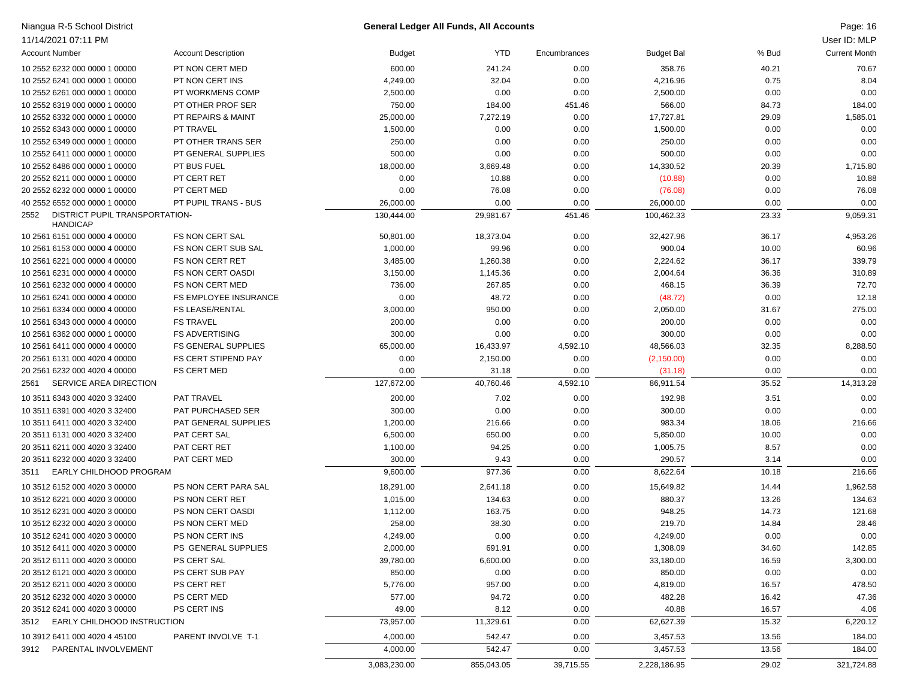| Niangua R-5 School District            |                              |               | <b>General Ledger All Funds, All Accounts</b> |              |                   |       | Page: 16             |
|----------------------------------------|------------------------------|---------------|-----------------------------------------------|--------------|-------------------|-------|----------------------|
| 11/14/2021 07:11 PM                    |                              |               |                                               |              |                   |       | User ID: MLP         |
| <b>Account Number</b>                  | <b>Account Description</b>   | <b>Budget</b> | YTD                                           | Encumbrances | <b>Budget Bal</b> | % Bud | <b>Current Month</b> |
| 10 2552 6232 000 0000 1 00000          | PT NON CERT MED              | 600.00        | 241.24                                        | 0.00         | 358.76            | 40.21 | 70.67                |
| 10 2552 6241 000 0000 1 00000          | PT NON CERT INS              | 4,249.00      | 32.04                                         | 0.00         | 4,216.96          | 0.75  | 8.04                 |
| 10 2552 6261 000 0000 1 00000          | PT WORKMENS COMP             | 2,500.00      | 0.00                                          | 0.00         | 2,500.00          | 0.00  | 0.00                 |
| 10 2552 6319 000 0000 1 00000          | PT OTHER PROF SER            | 750.00        | 184.00                                        | 451.46       | 566.00            | 84.73 | 184.00               |
| 10 2552 6332 000 0000 1 00000          | PT REPAIRS & MAINT           | 25,000.00     | 7,272.19                                      | 0.00         | 17,727.81         | 29.09 | 1,585.01             |
| 10 2552 6343 000 0000 1 00000          | <b>PT TRAVEL</b>             | 1,500.00      | 0.00                                          | 0.00         | 1,500.00          | 0.00  | 0.00                 |
| 10 2552 6349 000 0000 1 00000          | PT OTHER TRANS SER           | 250.00        | 0.00                                          | 0.00         | 250.00            | 0.00  | 0.00                 |
| 10 2552 6411 000 0000 1 00000          | PT GENERAL SUPPLIES          | 500.00        | 0.00                                          | 0.00         | 500.00            | 0.00  | 0.00                 |
| 10 2552 6486 000 0000 1 00000          | PT BUS FUEL                  | 18,000.00     | 3,669.48                                      | 0.00         | 14,330.52         | 20.39 | 1,715.80             |
| 20 2552 6211 000 0000 1 00000          | PT CERT RET                  | 0.00          | 10.88                                         | 0.00         | (10.88)           | 0.00  | 10.88                |
| 20 2552 6232 000 0000 1 00000          | PT CERT MED                  | 0.00          | 76.08                                         | 0.00         | (76.08)           | 0.00  | 76.08                |
| 40 2552 6552 000 0000 1 00000          | PT PUPIL TRANS - BUS         | 26,000.00     | 0.00                                          | 0.00         | 26,000.00         | 0.00  | 0.00                 |
| DISTRICT PUPIL TRANSPORTATION-<br>2552 |                              | 130,444.00    | 29,981.67                                     | 451.46       | 100,462.33        | 23.33 | 9,059.31             |
| <b>HANDICAP</b>                        |                              |               |                                               |              |                   |       |                      |
| 10 2561 6151 000 0000 4 00000          | FS NON CERT SAL              | 50,801.00     | 18,373.04                                     | 0.00         | 32,427.96         | 36.17 | 4,953.26             |
| 10 2561 6153 000 0000 4 00000          | FS NON CERT SUB SAL          | 1,000.00      | 99.96                                         | 0.00         | 900.04            | 10.00 | 60.96                |
| 10 2561 6221 000 0000 4 00000          | <b>FS NON CERT RET</b>       | 3,485.00      | 1,260.38                                      | 0.00         | 2,224.62          | 36.17 | 339.79               |
| 10 2561 6231 000 0000 4 00000          | FS NON CERT OASDI            | 3,150.00      | 1,145.36                                      | 0.00         | 2,004.64          | 36.36 | 310.89               |
| 10 2561 6232 000 0000 4 00000          | <b>FS NON CERT MED</b>       | 736.00        | 267.85                                        | 0.00         | 468.15            | 36.39 | 72.70                |
| 10 2561 6241 000 0000 4 00000          | <b>FS EMPLOYEE INSURANCE</b> | 0.00          | 48.72                                         | 0.00         | (48.72)           | 0.00  | 12.18                |
| 10 2561 6334 000 0000 4 00000          | <b>FS LEASE/RENTAL</b>       | 3,000.00      | 950.00                                        | 0.00         | 2,050.00          | 31.67 | 275.00               |
| 10 2561 6343 000 0000 4 00000          | <b>FS TRAVEL</b>             | 200.00        | 0.00                                          | 0.00         | 200.00            | 0.00  | 0.00                 |
| 10 2561 6362 000 0000 1 00000          | <b>FS ADVERTISING</b>        | 300.00        | 0.00                                          | 0.00         | 300.00            | 0.00  | 0.00                 |
| 10 2561 6411 000 0000 4 00000          | <b>FS GENERAL SUPPLIES</b>   | 65,000.00     | 16,433.97                                     | 4,592.10     | 48,566.03         | 32.35 | 8,288.50             |
| 20 2561 6131 000 4020 4 00000          | <b>FS CERT STIPEND PAY</b>   | 0.00          | 2,150.00                                      | 0.00         | (2, 150.00)       | 0.00  | 0.00                 |
| 20 2561 6232 000 4020 4 00000          | <b>FS CERT MED</b>           | 0.00          | 31.18                                         | 0.00         | (31.18)           | 0.00  | 0.00                 |
| SERVICE AREA DIRECTION<br>2561         |                              | 127,672.00    | 40,760.46                                     | 4,592.10     | 86,911.54         | 35.52 | 14,313.28            |
| 10 3511 6343 000 4020 3 32400          | PAT TRAVEL                   | 200.00        | 7.02                                          | 0.00         | 192.98            | 3.51  | 0.00                 |
| 10 3511 6391 000 4020 3 32400          | PAT PURCHASED SER            | 300.00        | 0.00                                          | 0.00         | 300.00            | 0.00  | 0.00                 |
| 10 3511 6411 000 4020 3 32400          | PAT GENERAL SUPPLIES         | 1,200.00      | 216.66                                        | 0.00         | 983.34            | 18.06 | 216.66               |
| 20 3511 6131 000 4020 3 32400          | PAT CERT SAL                 | 6,500.00      | 650.00                                        | 0.00         | 5,850.00          | 10.00 | 0.00                 |
| 20 3511 6211 000 4020 3 32400          | PAT CERT RET                 | 1,100.00      | 94.25                                         | 0.00         | 1,005.75          | 8.57  | 0.00                 |
| 20 3511 6232 000 4020 3 32400          | PAT CERT MED                 | 300.00        | 9.43                                          | 0.00         | 290.57            | 3.14  | 0.00                 |
| EARLY CHILDHOOD PROGRAM<br>3511        |                              | 9,600.00      | 977.36                                        | 0.00         | 8,622.64          | 10.18 | 216.66               |
|                                        |                              |               |                                               |              |                   |       |                      |
| 10 3512 6152 000 4020 3 00000          | PS NON CERT PARA SAL         | 18,291.00     | 2,641.18                                      | 0.00         | 15,649.82         | 14.44 | 1,962.58             |
| 10 3512 6221 000 4020 3 00000          | PS NON CERT RET              | 1,015.00      | 134.63                                        | 0.00         | 880.37            | 13.26 | 134.63               |
| 10 3512 6231 000 4020 3 00000          | PS NON CERT OASDI            | 1,112.00      | 163.75                                        | 0.00         | 948.25            | 14.73 | 121.68               |
| 10 3512 6232 000 4020 3 00000          | PS NON CERT MED              | 258.00        | 38.30                                         | 0.00         | 219.70            | 14.84 | 28.46                |
| 10 3512 6241 000 4020 3 00000          | PS NON CERT INS              | 4,249.00      | 0.00                                          | 0.00         | 4,249.00          | 0.00  | 0.00                 |
| 10 3512 6411 000 4020 3 00000          | PS GENERAL SUPPLIES          | 2,000.00      | 691.91                                        | 0.00         | 1,308.09          | 34.60 | 142.85               |
| 20 3512 6111 000 4020 3 00000          | PS CERT SAL                  | 39,780.00     | 6,600.00                                      | 0.00         | 33,180.00         | 16.59 | 3,300.00             |
| 20 3512 6121 000 4020 3 00000          | PS CERT SUB PAY              | 850.00        | 0.00                                          | 0.00         | 850.00            | 0.00  | 0.00                 |
| 20 3512 6211 000 4020 3 00000          | PS CERT RET                  | 5,776.00      | 957.00                                        | 0.00         | 4,819.00          | 16.57 | 478.50               |
| 20 3512 6232 000 4020 3 00000          | PS CERT MED                  | 577.00        | 94.72                                         | 0.00         | 482.28            | 16.42 | 47.36                |
| 20 3512 6241 000 4020 3 00000          | PS CERT INS                  | 49.00         | 8.12                                          | 0.00         | 40.88             | 16.57 | 4.06                 |
| EARLY CHILDHOOD INSTRUCTION<br>3512    |                              | 73,957.00     | 11,329.61                                     | 0.00         | 62,627.39         | 15.32 | 6,220.12             |
| 10 3912 6411 000 4020 4 45100          | PARENT INVOLVE T-1           | 4,000.00      | 542.47                                        | 0.00         | 3,457.53          | 13.56 | 184.00               |
| PARENTAL INVOLVEMENT<br>3912           |                              | 4,000.00      | 542.47                                        | 0.00         | 3,457.53          | 13.56 | 184.00               |
|                                        |                              | 3,083,230.00  | 855,043.05                                    | 39,715.55    | 2,228,186.95      | 29.02 | 321,724.88           |